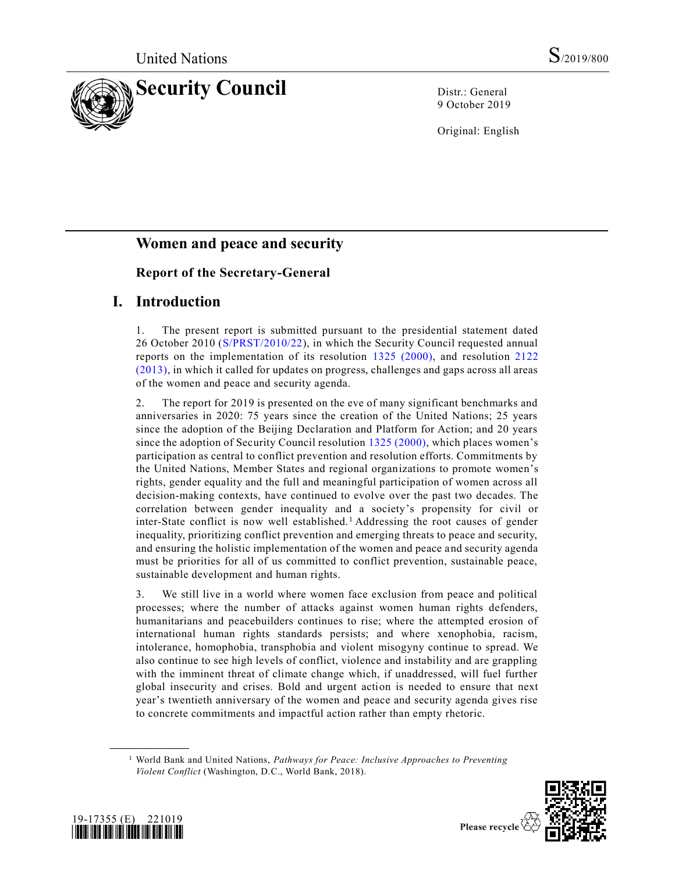

9 October 2019

Original: English

# **Women and peace and security**

## **Report of the Secretary-General**

## **I. Introduction**

1. The present report is submitted pursuant to the presidential statement dated 26 October 2010 [\(S/PRST/2010/22\)](https://undocs.org/en/S/PRST/2010/22), in which the Security Council requested annual reports on the implementation of its resolution [1325 \(2000\),](https://undocs.org/en/S/RES/1325%20(2000)) and resolution [2122](https://undocs.org/en/S/RES/2122%20(2013))  [\(2013\),](https://undocs.org/en/S/RES/2122%20(2013)) in which it called for updates on progress, challenges and gaps across all areas of the women and peace and security agenda.

2. The report for 2019 is presented on the eve of many significant benchmarks and anniversaries in 2020: 75 years since the creation of the United Nations; 25 years since the adoption of the Beijing Declaration and Platform for Action; and 20 years since the adoption of Security Council resolution [1325 \(2000\),](https://undocs.org/en/S/RES/1325%20(2000)) which places women's participation as central to conflict prevention and resolution efforts. Commitments by the United Nations, Member States and regional organizations to promote women's rights, gender equality and the full and meaningful participation of women across all decision-making contexts, have continued to evolve over the past two decades. The correlation between gender inequality and a society's propensity for civil or inter-State conflict is now well established.<sup>1</sup> Addressing the root causes of gender inequality, prioritizing conflict prevention and emerging threats to peace and security, and ensuring the holistic implementation of the women and peace and security agenda must be priorities for all of us committed to conflict prevention, sustainable peace, sustainable development and human rights.

3. We still live in a world where women face exclusion from peace and political processes; where the number of attacks against women human rights defenders, humanitarians and peacebuilders continues to rise; where the attempted erosion of international human rights standards persists; and where xenophobia, racism, intolerance, homophobia, transphobia and violent misogyny continue to spread. We also continue to see high levels of conflict, violence and instability and are grappling with the imminent threat of climate change which, if unaddressed, will fuel further global insecurity and crises. Bold and urgent action is needed to ensure that next year's twentieth anniversary of the women and peace and security agenda gives rise to concrete commitments and impactful action rather than empty rhetoric.

<sup>1</sup> World Bank and United Nations, *Pathways for Peace: Inclusive Approaches to Preventing Violent Conflict* (Washington, D.C., World Bank, 2018).



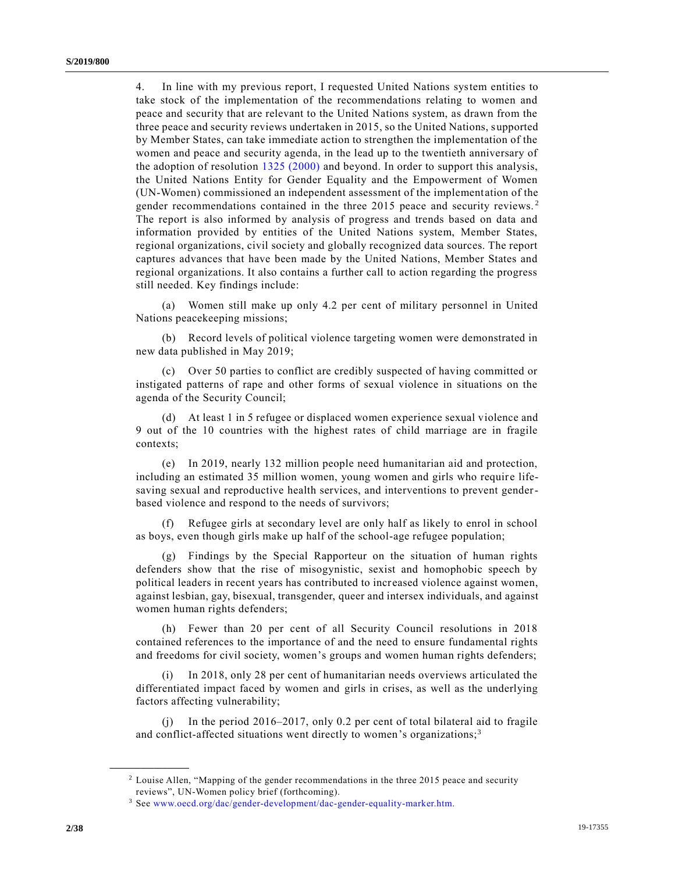4. In line with my previous report, I requested United Nations system entities to take stock of the implementation of the recommendations relating to women and peace and security that are relevant to the United Nations system, as drawn from the three peace and security reviews undertaken in 2015, so the United Nations, supported by Member States, can take immediate action to strengthen the implementation of the women and peace and security agenda, in the lead up to the twentieth anniversary of the adoption of resolution [1325 \(2000\)](https://undocs.org/en/S/RES/1325%20(2000)) and beyond. In order to support this analysis, the United Nations Entity for Gender Equality and the Empowerment of Women (UN-Women) commissioned an independent assessment of the implementation of the gender recommendations contained in the three 2015 peace and security reviews. <sup>2</sup> The report is also informed by analysis of progress and trends based on data and information provided by entities of the United Nations system, Member States, regional organizations, civil society and globally recognized data sources. The report captures advances that have been made by the United Nations, Member States and regional organizations. It also contains a further call to action regarding the progress still needed. Key findings include:

(a) Women still make up only 4.2 per cent of military personnel in United Nations peacekeeping missions;

(b) Record levels of political violence targeting women were demonstrated in new data published in May 2019;

(c) Over 50 parties to conflict are credibly suspected of having committed or instigated patterns of rape and other forms of sexual violence in situations on the agenda of the Security Council;

(d) At least 1 in 5 refugee or displaced women experience sexual violence and 9 out of the 10 countries with the highest rates of child marriage are in fragile contexts;

(e) In 2019, nearly 132 million people need humanitarian aid and protection, including an estimated 35 million women, young women and girls who require lifesaving sexual and reproductive health services, and interventions to prevent genderbased violence and respond to the needs of survivors;

(f) Refugee girls at secondary level are only half as likely to enrol in school as boys, even though girls make up half of the school-age refugee population;

(g) Findings by the Special Rapporteur on the situation of human rights defenders show that the rise of misogynistic, sexist and homophobic speech by political leaders in recent years has contributed to increased violence against women, against lesbian, gay, bisexual, transgender, queer and intersex individuals, and against women human rights defenders;

(h) Fewer than 20 per cent of all Security Council resolutions in 2018 contained references to the importance of and the need to ensure fundamental rights and freedoms for civil society, women's groups and women human rights defenders;

(i) In 2018, only 28 per cent of humanitarian needs overviews articulated the differentiated impact faced by women and girls in crises, as well as the underlying factors affecting vulnerability;

(j) In the period 2016–2017, only 0.2 per cent of total bilateral aid to fragile and conflict-affected situations went directly to women's organizations;<sup>3</sup>

<sup>2</sup> Louise Allen, "Mapping of the gender recommendations in the three 2015 peace and security reviews", UN-Women policy brief (forthcoming).

<sup>3</sup> See [www.oecd.org/dac/gender-development/dac-gender-equality-marker.htm.](http://www.oecd.org/dac/gender-development/dac-gender-equality-marker.htm)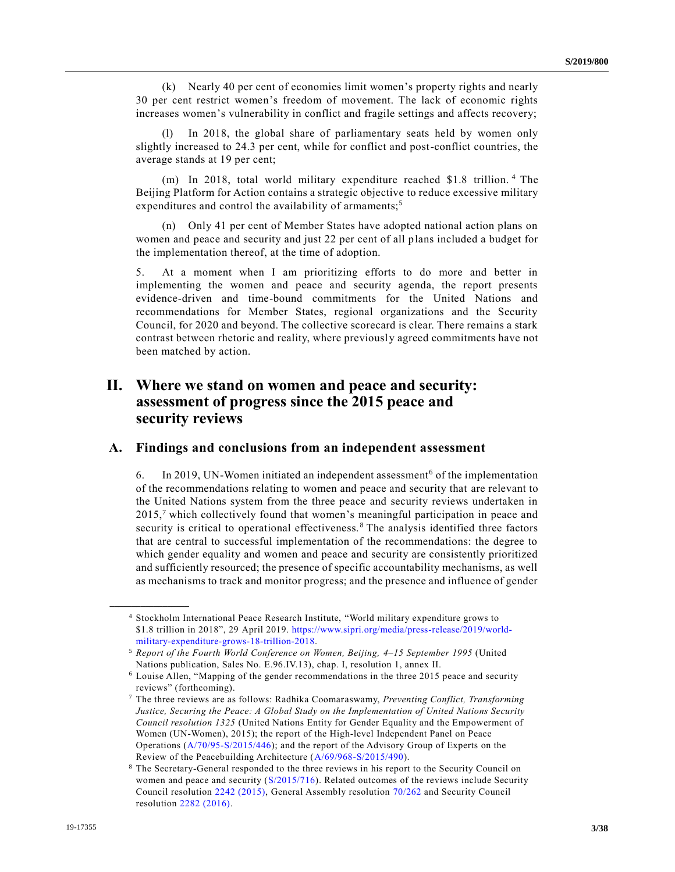(k) Nearly 40 per cent of economies limit women's property rights and nearly 30 per cent restrict women's freedom of movement. The lack of economic rights increases women's vulnerability in conflict and fragile settings and affects recovery;

In 2018, the global share of parliamentary seats held by women only slightly increased to 24.3 per cent, while for conflict and post-conflict countries, the average stands at 19 per cent;

(m) In 2018, total world military expenditure reached \$1.8 trillion. <sup>4</sup> The Beijing Platform for Action contains a strategic objective to reduce excessive military expenditures and control the availability of armaments;<sup>5</sup>

(n) Only 41 per cent of Member States have adopted national action plans on women and peace and security and just 22 per cent of all plans included a budget for the implementation thereof, at the time of adoption.

5. At a moment when I am prioritizing efforts to do more and better in implementing the women and peace and security agenda, the report presents evidence-driven and time-bound commitments for the United Nations and recommendations for Member States, regional organizations and the Security Council, for 2020 and beyond. The collective scorecard is clear. There remains a stark contrast between rhetoric and reality, where previously agreed commitments have not been matched by action.

## **II. Where we stand on women and peace and security: assessment of progress since the 2015 peace and security reviews**

### **A. Findings and conclusions from an independent assessment**

6. In 2019, UN-Women initiated an independent assessment<sup>6</sup> of the implementation of the recommendations relating to women and peace and security that are relevant to the United Nations system from the three peace and security reviews undertaken in  $2015<sup>7</sup>$  which collectively found that women's meaningful participation in peace and security is critical to operational effectiveness.<sup>8</sup> The analysis identified three factors that are central to successful implementation of the recommendations: the degree to which gender equality and women and peace and security are consistently prioritized and sufficiently resourced; the presence of specific accountability mechanisms, as well as mechanisms to track and monitor progress; and the presence and influence of gender

<sup>4</sup> Stockholm International Peace Research Institute, "World military expenditure grows to \$1.8 trillion in 2018", 29 April 2019. [https://www.sipri.org/media/press-release/2019/world](https://www.sipri.org/media/press-release/2019/world-military-expenditure-grows-18-trillion-2018)[military-expenditure-grows-18-trillion-2018.](https://www.sipri.org/media/press-release/2019/world-military-expenditure-grows-18-trillion-2018)

<sup>5</sup> *Report of the Fourth World Conference on Women, Beijing, 4–15 September 1995* (United Nations publication, Sales No. E.96.IV.13), chap. I, resolution 1, annex II.

<sup>6</sup> Louise Allen, "Mapping of the gender recommendations in the three 2015 peace and security reviews" (forthcoming).

<sup>7</sup> The three reviews are as follows: Radhika Coomaraswamy, *Preventing Conflict, Transforming Justice, Securing the Peace: A Global Study on the Implementation of United Nations Security Council resolution 1325* (United Nations Entity for Gender Equality and the Empowerment of Women (UN-Women), 2015); the report of the High-level Independent Panel on Peace Operations [\(A/70/95-S/2015/446\)](https://undocs.org/en/A/70/95); and the report of the Advisory Group of Experts on the Review of the Peacebuilding Architecture [\(A/69/968-S/2015/490\)](https://undocs.org/en/A/69/968).

<sup>8</sup> The Secretary-General responded to the three reviews in his report to the Security Council on women and peace and security [\(S/2015/716\)](https://undocs.org/en/S/2015/716). Related outcomes of the reviews include Security Council resolution [2242 \(2015\),](https://undocs.org/en/S/RES/2242%20(2015)) General Assembly resolution [70/262](https://undocs.org/en/A/RES/70/262) and Security Council resolution [2282 \(2016\).](https://undocs.org/en/S/RES/2282%20(2016))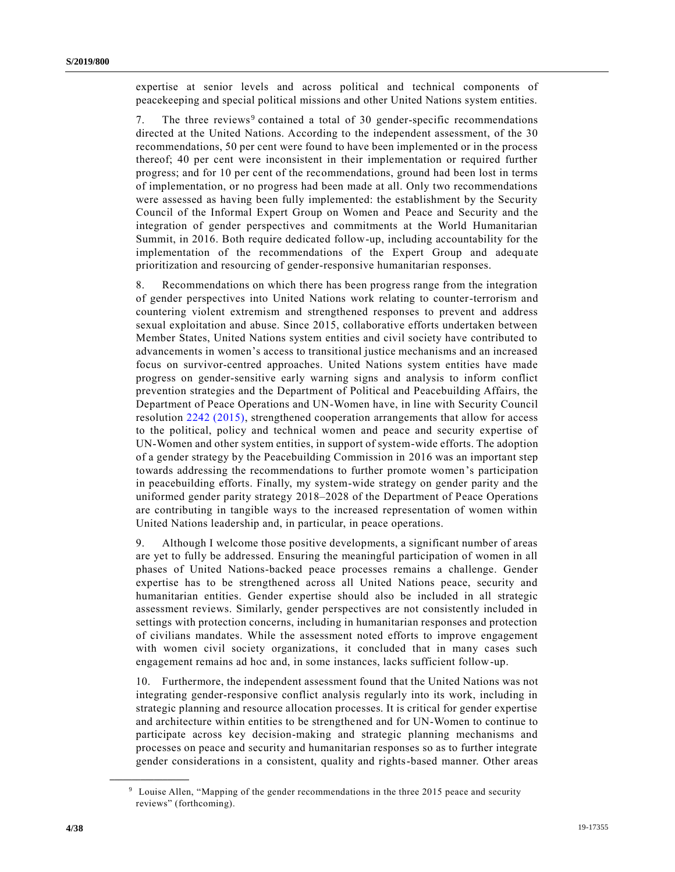expertise at senior levels and across political and technical components of peacekeeping and special political missions and other United Nations system entities.

7. The three reviews<sup>9</sup> contained a total of 30 gender-specific recommendations directed at the United Nations. According to the independent assessment, of the 30 recommendations, 50 per cent were found to have been implemented or in the process thereof; 40 per cent were inconsistent in their implementation or required further progress; and for 10 per cent of the recommendations, ground had been lost in terms of implementation, or no progress had been made at all. Only two recommendations were assessed as having been fully implemented: the establishment by the Security Council of the Informal Expert Group on Women and Peace and Security and the integration of gender perspectives and commitments at the World Humanitarian Summit, in 2016. Both require dedicated follow-up, including accountability for the implementation of the recommendations of the Expert Group and adequate prioritization and resourcing of gender-responsive humanitarian responses.

8. Recommendations on which there has been progress range from the integration of gender perspectives into United Nations work relating to counter-terrorism and countering violent extremism and strengthened responses to prevent and address sexual exploitation and abuse. Since 2015, collaborative efforts undertaken between Member States, United Nations system entities and civil society have contributed to advancements in women's access to transitional justice mechanisms and an increased focus on survivor-centred approaches. United Nations system entities have made progress on gender-sensitive early warning signs and analysis to inform conflict prevention strategies and the Department of Political and Peacebuilding Affairs, the Department of Peace Operations and UN-Women have, in line with Security Council resolution [2242 \(2015\),](https://undocs.org/en/S/RES/2242%20(2015)) strengthened cooperation arrangements that allow for access to the political, policy and technical women and peace and security expertise of UN-Women and other system entities, in support of system-wide efforts. The adoption of a gender strategy by the Peacebuilding Commission in 2016 was an important step towards addressing the recommendations to further promote women's participation in peacebuilding efforts. Finally, my system-wide strategy on gender parity and the uniformed gender parity strategy 2018–2028 of the Department of Peace Operations are contributing in tangible ways to the increased representation of women within United Nations leadership and, in particular, in peace operations.

9. Although I welcome those positive developments, a significant number of areas are yet to fully be addressed. Ensuring the meaningful participation of women in all phases of United Nations-backed peace processes remains a challenge. Gender expertise has to be strengthened across all United Nations peace, security and humanitarian entities. Gender expertise should also be included in all strategic assessment reviews. Similarly, gender perspectives are not consistently included in settings with protection concerns, including in humanitarian responses and protection of civilians mandates. While the assessment noted efforts to improve engagement with women civil society organizations, it concluded that in many cases such engagement remains ad hoc and, in some instances, lacks sufficient follow-up.

10. Furthermore, the independent assessment found that the United Nations was not integrating gender-responsive conflict analysis regularly into its work, including in strategic planning and resource allocation processes. It is critical for gender expertise and architecture within entities to be strengthened and for UN-Women to continue to participate across key decision-making and strategic planning mechanisms and processes on peace and security and humanitarian responses so as to further integrate gender considerations in a consistent, quality and rights-based manner. Other areas

<sup>9</sup> Louise Allen, "Mapping of the gender recommendations in the three 2015 peace and security reviews" (forthcoming).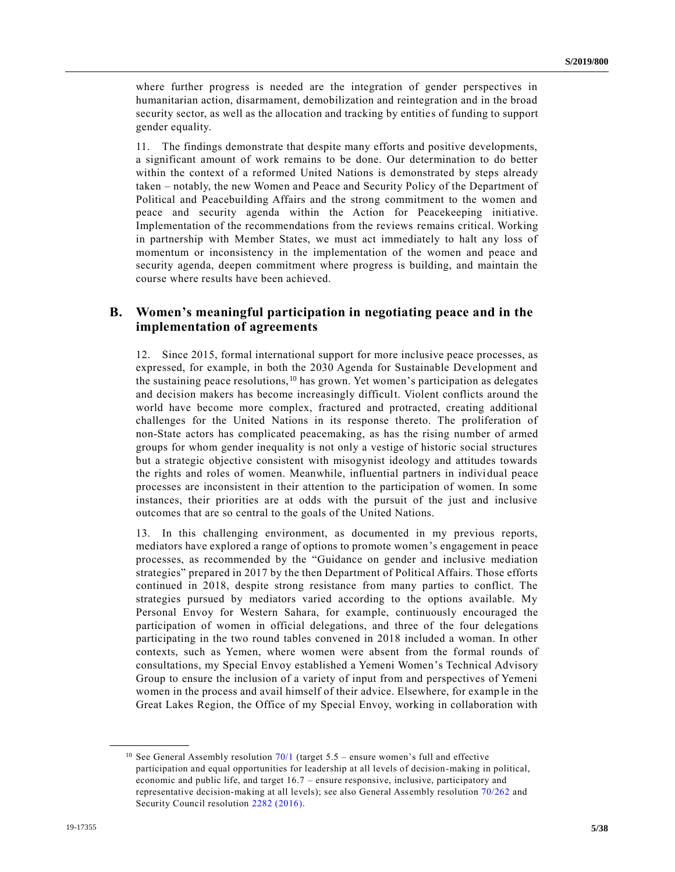where further progress is needed are the integration of gender perspectives in humanitarian action, disarmament, demobilization and reintegration and in the broad security sector, as well as the allocation and tracking by entitie s of funding to support gender equality.

11. The findings demonstrate that despite many efforts and positive developments, a significant amount of work remains to be done. Our determination to do better within the context of a reformed United Nations is demonstrated by steps already taken – notably, the new Women and Peace and Security Policy of the Department of Political and Peacebuilding Affairs and the strong commitment to the women and peace and security agenda within the Action for Peacekeeping initiative. Implementation of the recommendations from the reviews remains critical. Working in partnership with Member States, we must act immediately to halt any loss of momentum or inconsistency in the implementation of the women and peace and security agenda, deepen commitment where progress is building, and maintain the course where results have been achieved.

### **B. Women's meaningful participation in negotiating peace and in the implementation of agreements**

12. Since 2015, formal international support for more inclusive peace processes, as expressed, for example, in both the 2030 Agenda for Sustainable Development and the sustaining peace resolutions, $10$  has grown. Yet women's participation as delegates and decision makers has become increasingly difficult. Violent conflicts around the world have become more complex, fractured and protracted, creating additional challenges for the United Nations in its response thereto. The proliferation of non-State actors has complicated peacemaking, as has the rising number of armed groups for whom gender inequality is not only a vestige of historic social structures but a strategic objective consistent with misogynist ideology and attitudes towards the rights and roles of women. Meanwhile, influential partners in individual peace processes are inconsistent in their attention to the participation of women. In some instances, their priorities are at odds with the pursuit of the just and inclusive outcomes that are so central to the goals of the United Nations.

13. In this challenging environment, as documented in my previous reports, mediators have explored a range of options to promote women's engagement in peace processes, as recommended by the "Guidance on gender and inclusive mediation strategies" prepared in 2017 by the then Department of Political Affairs. Those efforts continued in 2018, despite strong resistance from many parties to conflict. The strategies pursued by mediators varied according to the options available. My Personal Envoy for Western Sahara, for example, continuously encouraged the participation of women in official delegations, and three of the four delegations participating in the two round tables convened in 2018 included a woman. In other contexts, such as Yemen, where women were absent from the formal rounds of consultations, my Special Envoy established a Yemeni Women's Technical Advisory Group to ensure the inclusion of a variety of input from and perspectives of Yemeni women in the process and avail himself of their advice. Elsewhere, for example in the Great Lakes Region, the Office of my Special Envoy, working in collaboration with

<sup>&</sup>lt;sup>10</sup> See General Assembly resolution  $70/1$  (target 5.5 – ensure women's full and effective participation and equal opportunities for leadership at all levels of decision-making in political, economic and public life, and target 16.7 – ensure responsive, inclusive, participatory and representative decision-making at all levels); see also General Assembly resolution [70/262](https://undocs.org/en/A/RES/70/262) and Security Council resolution [2282 \(2016\).](https://undocs.org/en/S/RES/2282%20(2016))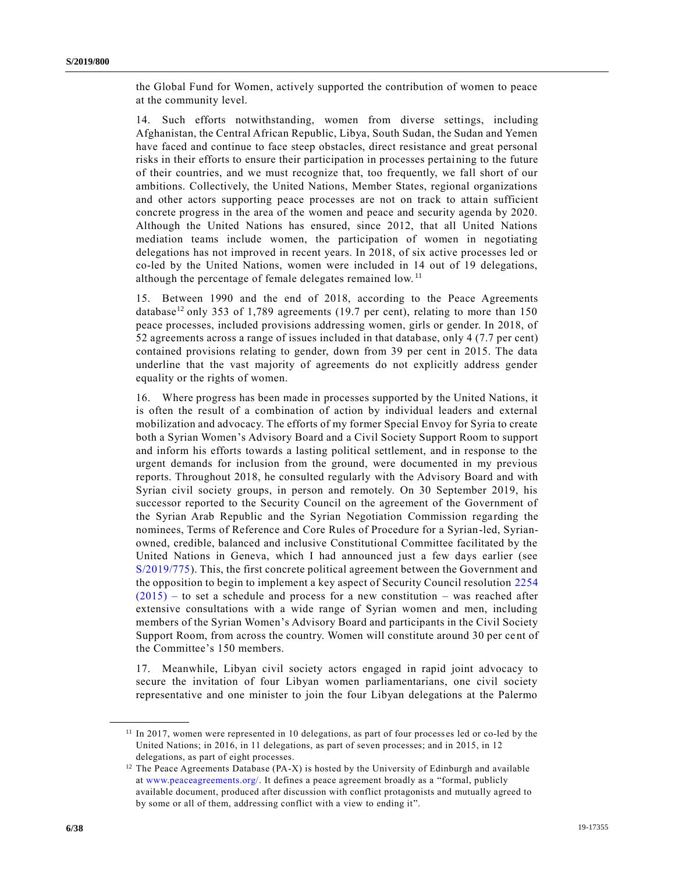the Global Fund for Women, actively supported the contribution of women to peace at the community level.

14. Such efforts notwithstanding, women from diverse settings, including Afghanistan, the Central African Republic, Libya, South Sudan, the Sudan and Yemen have faced and continue to face steep obstacles, direct resistance and great personal risks in their efforts to ensure their participation in processes pertaining to the future of their countries, and we must recognize that, too frequently, we fall short of our ambitions. Collectively, the United Nations, Member States, regional organizations and other actors supporting peace processes are not on track to attain sufficient concrete progress in the area of the women and peace and security agenda by 2020. Although the United Nations has ensured, since 2012, that all United Nations mediation teams include women, the participation of women in negotiating delegations has not improved in recent years. In 2018, of six active processes led or co-led by the United Nations, women were included in 14 out of 19 delegations, although the percentage of female delegates remained low. <sup>11</sup>

15. Between 1990 and the end of 2018, according to the Peace Agreements database<sup>12</sup> only 353 of 1,789 agreements (19.7 per cent), relating to more than 150 peace processes, included provisions addressing women, girls or gender. In 2018, of 52 agreements across a range of issues included in that database, only 4 (7.7 per cent) contained provisions relating to gender, down from 39 per cent in 2015. The data underline that the vast majority of agreements do not explicitly address gender equality or the rights of women.

16. Where progress has been made in processes supported by the United Nations, it is often the result of a combination of action by individual leaders and external mobilization and advocacy. The efforts of my former Special Envoy for Syria to create both a Syrian Women's Advisory Board and a Civil Society Support Room to support and inform his efforts towards a lasting political settlement, and in response to the urgent demands for inclusion from the ground, were documented in my previous reports. Throughout 2018, he consulted regularly with the Advisory Board and with Syrian civil society groups, in person and remotely. On 30 September 2019, his successor reported to the Security Council on the agreement of the Government of the Syrian Arab Republic and the Syrian Negotiation Commission regarding the nominees, Terms of Reference and Core Rules of Procedure for a Syrian-led, Syrianowned, credible, balanced and inclusive Constitutional Committee facilitated by the United Nations in Geneva, which I had announced just a few days earlier (see [S/2019/775\)](https://undocs.org/en/S/2019/775). This, the first concrete political agreement between the Government and the opposition to begin to implement a key aspect of Security Council resolution [2254](https://undocs.org/en/S/RES/2254%20(2015))   $(2015)$  – to set a schedule and process for a new constitution – was reached after extensive consultations with a wide range of Syrian women and men, including members of the Syrian Women's Advisory Board and participants in the Civil Society Support Room, from across the country. Women will constitute around 30 per ce nt of the Committee's 150 members.

17. Meanwhile, Libyan civil society actors engaged in rapid joint advocacy to secure the invitation of four Libyan women parliamentarians, one civil society representative and one minister to join the four Libyan delegations at the Palermo

<sup>&</sup>lt;sup>11</sup> In 2017, women were represented in 10 delegations, as part of four processes led or co-led by the United Nations; in 2016, in 11 delegations, as part of seven processes; and in 2015, in 12 delegations, as part of eight processes.

 $12$  The Peace Agreements Database (PA-X) is hosted by the University of Edinburgh and available at [www.peaceagreements.org/.](http://www.peaceagreements.org/) It defines a peace agreement broadly as a "formal, publicly available document, produced after discussion with conflict protagonists and mutually agreed to by some or all of them, addressing conflict with a view to ending it".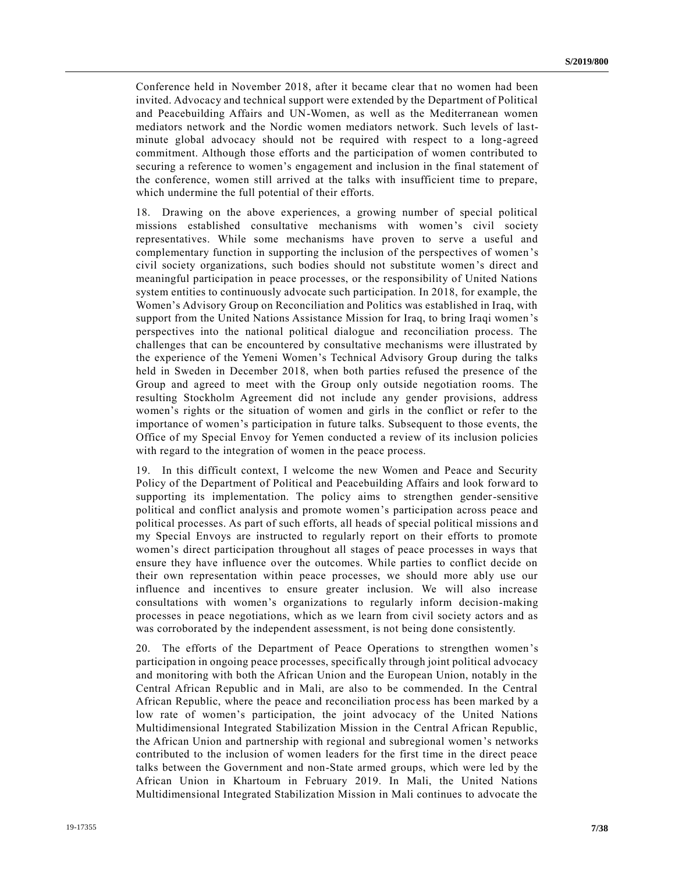Conference held in November 2018, after it became clear that no women had been invited. Advocacy and technical support were extended by the Department of Political and Peacebuilding Affairs and UN-Women, as well as the Mediterranean women mediators network and the Nordic women mediators network. Such levels of lastminute global advocacy should not be required with respect to a long-agreed commitment. Although those efforts and the participation of women contributed to securing a reference to women's engagement and inclusion in the final statement of the conference, women still arrived at the talks with insufficient time to prepare, which undermine the full potential of their efforts.

18. Drawing on the above experiences, a growing number of special political missions established consultative mechanisms with women's civil society representatives. While some mechanisms have proven to serve a useful and complementary function in supporting the inclusion of the perspectives of women 's civil society organizations, such bodies should not substitute women's direct and meaningful participation in peace processes, or the responsibility of United Nations system entities to continuously advocate such participation. In 2018, for example, the Women's Advisory Group on Reconciliation and Politics was established in Iraq, with support from the United Nations Assistance Mission for Iraq, to bring Iraqi women's perspectives into the national political dialogue and reconciliation process. The challenges that can be encountered by consultative mechanisms were illustrated by the experience of the Yemeni Women's Technical Advisory Group during the talks held in Sweden in December 2018, when both parties refused the presence of the Group and agreed to meet with the Group only outside negotiation rooms. The resulting Stockholm Agreement did not include any gender provisions, address women's rights or the situation of women and girls in the conflict or refer to the importance of women's participation in future talks. Subsequent to those events, the Office of my Special Envoy for Yemen conducted a review of its inclusion policies with regard to the integration of women in the peace process.

19. In this difficult context, I welcome the new Women and Peace and Security Policy of the Department of Political and Peacebuilding Affairs and look forward to supporting its implementation. The policy aims to strengthen gender-sensitive political and conflict analysis and promote women's participation across peace and political processes. As part of such efforts, all heads of special political missions an d my Special Envoys are instructed to regularly report on their efforts to promote women's direct participation throughout all stages of peace processes in ways that ensure they have influence over the outcomes. While parties to conflict decide on their own representation within peace processes, we should more ably use our influence and incentives to ensure greater inclusion. We will also increase consultations with women's organizations to regularly inform decision-making processes in peace negotiations, which as we learn from civil society actors and as was corroborated by the independent assessment, is not being done consistently.

20. The efforts of the Department of Peace Operations to strengthen women's participation in ongoing peace processes, specifically through joint political advocacy and monitoring with both the African Union and the European Union, notably in the Central African Republic and in Mali, are also to be commended. In the Central African Republic, where the peace and reconciliation process has been marked by a low rate of women's participation, the joint advocacy of the United Nations Multidimensional Integrated Stabilization Mission in the Central African Republic, the African Union and partnership with regional and subregional women's networks contributed to the inclusion of women leaders for the first time in the direct peace talks between the Government and non-State armed groups, which were led by the African Union in Khartoum in February 2019. In Mali, the United Nations Multidimensional Integrated Stabilization Mission in Mali continues to advocate the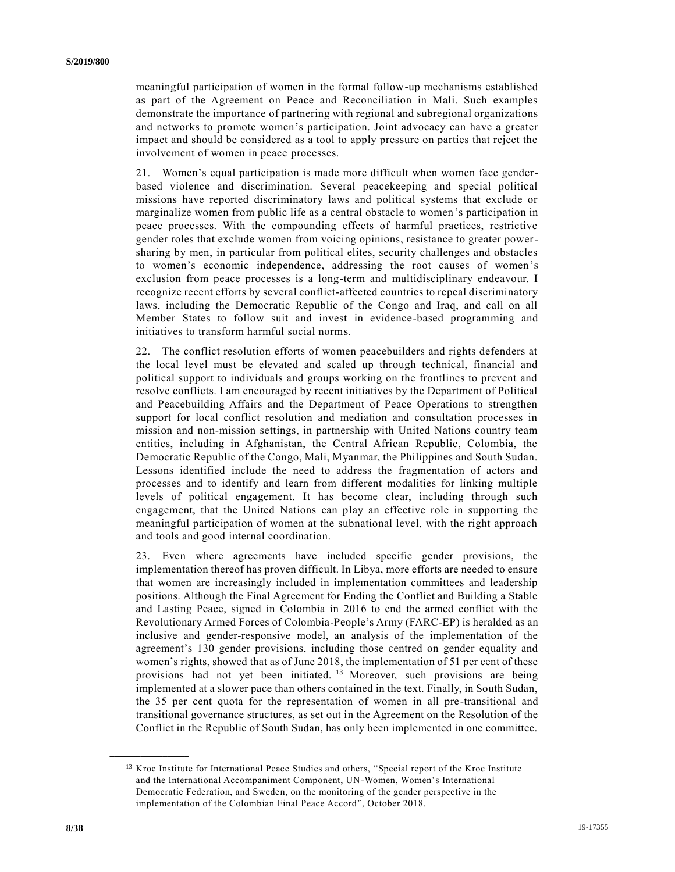meaningful participation of women in the formal follow-up mechanisms established as part of the Agreement on Peace and Reconciliation in Mali. Such examples demonstrate the importance of partnering with regional and subregional organizations and networks to promote women's participation. Joint advocacy can have a greater impact and should be considered as a tool to apply pressure on parties that reject the involvement of women in peace processes.

21. Women's equal participation is made more difficult when women face genderbased violence and discrimination. Several peacekeeping and special political missions have reported discriminatory laws and political systems that exclude or marginalize women from public life as a central obstacle to women's participation in peace processes. With the compounding effects of harmful practices, restrictive gender roles that exclude women from voicing opinions, resistance to greater powersharing by men, in particular from political elites, security challenges and obstacles to women's economic independence, addressing the root causes of women's exclusion from peace processes is a long-term and multidisciplinary endeavour. I recognize recent efforts by several conflict-affected countries to repeal discriminatory laws, including the Democratic Republic of the Congo and Iraq, and call on all Member States to follow suit and invest in evidence-based programming and initiatives to transform harmful social norms.

22. The conflict resolution efforts of women peacebuilders and rights defenders at the local level must be elevated and scaled up through technical, financial and political support to individuals and groups working on the frontlines to prevent and resolve conflicts. I am encouraged by recent initiatives by the Department of Political and Peacebuilding Affairs and the Department of Peace Operations to strengthen support for local conflict resolution and mediation and consultation processes in mission and non-mission settings, in partnership with United Nations country team entities, including in Afghanistan, the Central African Republic, Colombia, the Democratic Republic of the Congo, Mali, Myanmar, the Philippines and South Sudan. Lessons identified include the need to address the fragmentation of actors and processes and to identify and learn from different modalities for linking multiple levels of political engagement. It has become clear, including through such engagement, that the United Nations can play an effective role in supporting the meaningful participation of women at the subnational level, with the right approach and tools and good internal coordination.

23. Even where agreements have included specific gender provisions, the implementation thereof has proven difficult. In Libya, more efforts are needed to ensure that women are increasingly included in implementation committees and leadership positions. Although the Final Agreement for Ending the Conflict and Building a Stable and Lasting Peace, signed in Colombia in 2016 to end the armed conflict with the Revolutionary Armed Forces of Colombia-People's Army (FARC-EP) is heralded as an inclusive and gender-responsive model, an analysis of the implementation of the agreement's 130 gender provisions, including those centred on gender equality and women's rights, showed that as of June 2018, the implementation of 51 per cent of these provisions had not yet been initiated.<sup>13</sup> Moreover, such provisions are being implemented at a slower pace than others contained in the text. Finally, in South Sudan, the 35 per cent quota for the representation of women in all pre-transitional and transitional governance structures, as set out in the Agreement on the Resolution of the Conflict in the Republic of South Sudan, has only been implemented in one committee.

<sup>&</sup>lt;sup>13</sup> Kroc Institute for International Peace Studies and others, "Special report of the Kroc Institute and the International Accompaniment Component, UN-Women, Women's International Democratic Federation, and Sweden, on the monitoring of the gender perspective in the implementation of the Colombian Final Peace Accord", October 2018.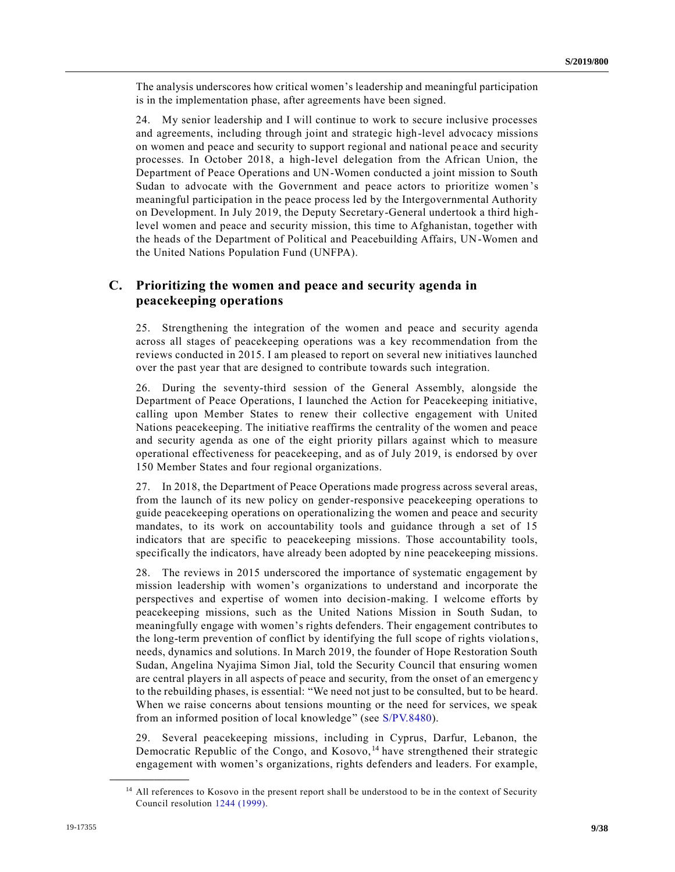The analysis underscores how critical women's leadership and meaningful participation is in the implementation phase, after agreements have been signed.

24. My senior leadership and I will continue to work to secure inclusive processes and agreements, including through joint and strategic high-level advocacy missions on women and peace and security to support regional and national pe ace and security processes. In October 2018, a high-level delegation from the African Union, the Department of Peace Operations and UN-Women conducted a joint mission to South Sudan to advocate with the Government and peace actors to prioritize women 's meaningful participation in the peace process led by the Intergovernmental Authority on Development. In July 2019, the Deputy Secretary-General undertook a third highlevel women and peace and security mission, this time to Afghanistan, together with the heads of the Department of Political and Peacebuilding Affairs, UN-Women and the United Nations Population Fund (UNFPA).

### **C. Prioritizing the women and peace and security agenda in peacekeeping operations**

25. Strengthening the integration of the women and peace and security agenda across all stages of peacekeeping operations was a key recommendation from the reviews conducted in 2015. I am pleased to report on several new initiatives launched over the past year that are designed to contribute towards such integration.

26. During the seventy-third session of the General Assembly, alongside the Department of Peace Operations, I launched the Action for Peacekeeping initiative, calling upon Member States to renew their collective engagement with United Nations peacekeeping. The initiative reaffirms the centrality of the women and peace and security agenda as one of the eight priority pillars against which to measure operational effectiveness for peacekeeping, and as of July 2019, is endorsed by over 150 Member States and four regional organizations.

27. In 2018, the Department of Peace Operations made progress across several areas, from the launch of its new policy on gender-responsive peacekeeping operations to guide peacekeeping operations on operationalizing the women and peace and security mandates, to its work on accountability tools and guidance through a set of 15 indicators that are specific to peacekeeping missions. Those accountability tools, specifically the indicators, have already been adopted by nine peacekeeping missions.

28. The reviews in 2015 underscored the importance of systematic engagement by mission leadership with women's organizations to understand and incorporate the perspectives and expertise of women into decision-making. I welcome efforts by peacekeeping missions, such as the United Nations Mission in South Sudan, to meaningfully engage with women's rights defenders. Their engagement contributes to the long-term prevention of conflict by identifying the full scope of rights violations, needs, dynamics and solutions. In March 2019, the founder of Hope Restoration South Sudan, Angelina Nyajima Simon Jial, told the Security Council that ensuring women are central players in all aspects of peace and security, from the onset of an emergency to the rebuilding phases, is essential: "We need not just to be consulted, but to be heard. When we raise concerns about tensions mounting or the need for services, we speak from an informed position of local knowledge" (see [S/PV.8480\)](https://undocs.org/en/S/PV.8480).

29. Several peacekeeping missions, including in Cyprus, Darfur, Lebanon, the Democratic Republic of the Congo, and Kosovo, <sup>14</sup> have strengthened their strategic engagement with women's organizations, rights defenders and leaders. For example,

<sup>&</sup>lt;sup>14</sup> All references to Kosovo in the present report shall be understood to be in the context of Security Council resolution [1244 \(1999\).](https://undocs.org/en/S/RES/1244%20(1999))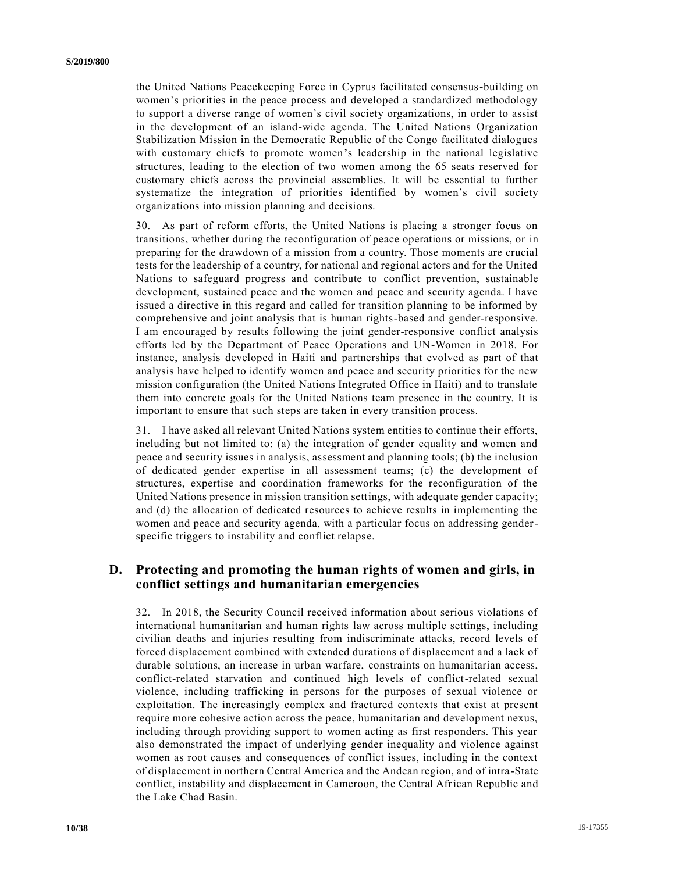the United Nations Peacekeeping Force in Cyprus facilitated consensus-building on women's priorities in the peace process and developed a standardized methodology to support a diverse range of women's civil society organizations, in order to assist in the development of an island-wide agenda. The United Nations Organization Stabilization Mission in the Democratic Republic of the Congo facilitated dialogues with customary chiefs to promote women's leadership in the national legislative structures, leading to the election of two women among the 65 seats reserved for customary chiefs across the provincial assemblies. It will be essential to further systematize the integration of priorities identified by women's civil society organizations into mission planning and decisions.

30. As part of reform efforts, the United Nations is placing a stronger focus on transitions, whether during the reconfiguration of peace operations or missions, or in preparing for the drawdown of a mission from a country. Those moments are crucial tests for the leadership of a country, for national and regional actors and for the United Nations to safeguard progress and contribute to conflict prevention, sustainable development, sustained peace and the women and peace and security agenda. I have issued a directive in this regard and called for transition planning to be informed by comprehensive and joint analysis that is human rights-based and gender-responsive. I am encouraged by results following the joint gender-responsive conflict analysis efforts led by the Department of Peace Operations and UN-Women in 2018. For instance, analysis developed in Haiti and partnerships that evolved as part of that analysis have helped to identify women and peace and security priorities for the new mission configuration (the United Nations Integrated Office in Haiti) and to translate them into concrete goals for the United Nations team presence in the country. It is important to ensure that such steps are taken in every transition process.

31. I have asked all relevant United Nations system entities to continue their efforts, including but not limited to: (a) the integration of gender equality and women and peace and security issues in analysis, assessment and planning tools; (b) the inclusion of dedicated gender expertise in all assessment teams; (c) the development of structures, expertise and coordination frameworks for the reconfiguration of the United Nations presence in mission transition settings, with adequate gender capacity; and (d) the allocation of dedicated resources to achieve results in implementing the women and peace and security agenda, with a particular focus on addressing genderspecific triggers to instability and conflict relapse.

### **D. Protecting and promoting the human rights of women and girls, in conflict settings and humanitarian emergencies**

32. In 2018, the Security Council received information about serious violations of international humanitarian and human rights law across multiple settings, including civilian deaths and injuries resulting from indiscriminate attacks, record levels of forced displacement combined with extended durations of displacement and a lack of durable solutions, an increase in urban warfare, constraints on humanitarian access, conflict-related starvation and continued high levels of conflict-related sexual violence, including trafficking in persons for the purposes of sexual violence or exploitation. The increasingly complex and fractured contexts that exist at present require more cohesive action across the peace, humanitarian and development nexus, including through providing support to women acting as first responders. This year also demonstrated the impact of underlying gender inequality and violence against women as root causes and consequences of conflict issues, including in the context of displacement in northern Central America and the Andean region, and of intra -State conflict, instability and displacement in Cameroon, the Central African Republic and the Lake Chad Basin.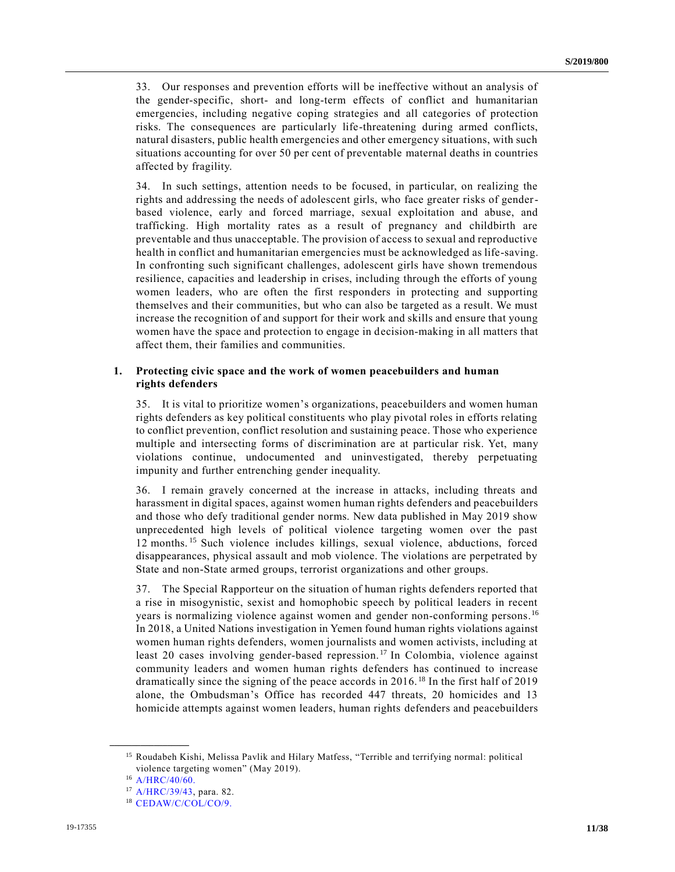33. Our responses and prevention efforts will be ineffective without an analysis of the gender-specific, short- and long-term effects of conflict and humanitarian emergencies, including negative coping strategies and all categories of protection risks. The consequences are particularly life-threatening during armed conflicts, natural disasters, public health emergencies and other emergency situations, with such situations accounting for over 50 per cent of preventable maternal deaths in countries affected by fragility.

34. In such settings, attention needs to be focused, in particular, on realizing the rights and addressing the needs of adolescent girls, who face greater risks of genderbased violence, early and forced marriage, sexual exploitation and abuse, and trafficking. High mortality rates as a result of pregnancy and childbirth are preventable and thus unacceptable. The provision of access to sexual and reproductive health in conflict and humanitarian emergencies must be acknowledged as life-saving. In confronting such significant challenges, adolescent girls have shown tremendous resilience, capacities and leadership in crises, including through the efforts of young women leaders, who are often the first responders in protecting and supporting themselves and their communities, but who can also be targeted as a result. We must increase the recognition of and support for their work and skills and ensure that young women have the space and protection to engage in decision-making in all matters that affect them, their families and communities.

### **1. Protecting civic space and the work of women peacebuilders and human rights defenders**

35. It is vital to prioritize women's organizations, peacebuilders and women human rights defenders as key political constituents who play pivotal roles in efforts relating to conflict prevention, conflict resolution and sustaining peace. Those who experience multiple and intersecting forms of discrimination are at particular risk. Yet, many violations continue, undocumented and uninvestigated, thereby perpetuating impunity and further entrenching gender inequality.

36. I remain gravely concerned at the increase in attacks, including threats and harassment in digital spaces, against women human rights defenders and peacebuilders and those who defy traditional gender norms. New data published in May 2019 show unprecedented high levels of political violence targeting women over the past 12 months. <sup>15</sup> Such violence includes killings, sexual violence, abductions, forced disappearances, physical assault and mob violence. The violations are perpetrated by State and non-State armed groups, terrorist organizations and other groups.

37. The Special Rapporteur on the situation of human rights defenders reported that a rise in misogynistic, sexist and homophobic speech by political leaders in recent years is normalizing violence against women and gender non-conforming persons. 16 In 2018, a United Nations investigation in Yemen found human rights violations against women human rights defenders, women journalists and women activists, including at least 20 cases involving gender-based repression.<sup>17</sup> In Colombia, violence against community leaders and women human rights defenders has continued to increase dramatically since the signing of the peace accords in 2016. <sup>18</sup> In the first half of 2019 alone, the Ombudsman's Office has recorded 447 threats, 20 homicides and 13 homicide attempts against women leaders, human rights defenders and peacebuilders

<sup>15</sup> Roudabeh Kishi, Melissa Pavlik and Hilary Matfess, "Terrible and terrifying normal: political violence targeting women" (May 2019).

<sup>16</sup> [A/HRC/40/60.](https://undocs.org/en/A/HRC/40/60)

<sup>17</sup> [A/HRC/39/43,](https://undocs.org/en/A/HRC/39/43) para. 82.

<sup>18</sup> [CEDAW/C/COL/CO/9.](https://undocs.org/en/CEDAW/C/COL/CO/9)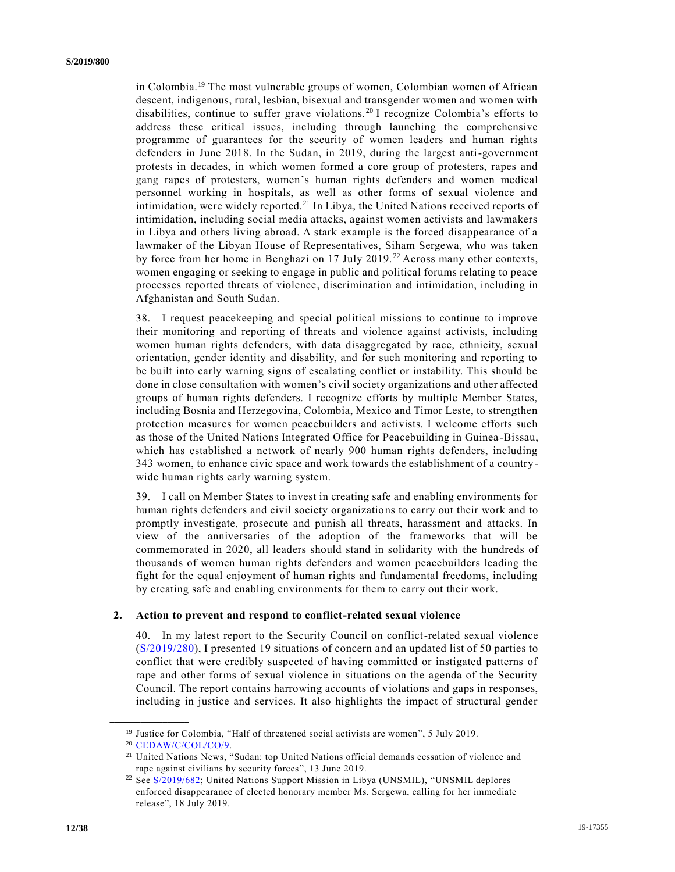in Colombia.<sup>19</sup> The most vulnerable groups of women, Colombian women of African descent, indigenous, rural, lesbian, bisexual and transgender women and women with disabilities, continue to suffer grave violations.<sup>20</sup> I recognize Colombia's efforts to address these critical issues, including through launching the comprehensive programme of guarantees for the security of women leaders and human rights defenders in June 2018. In the Sudan, in 2019, during the largest anti-government protests in decades, in which women formed a core group of protesters, rapes and gang rapes of protesters, women's human rights defenders and women medical personnel working in hospitals, as well as other forms of sexual violence and intimidation, were widely reported.<sup>21</sup> In Libya, the United Nations received reports of intimidation, including social media attacks, against women activists and lawmakers in Libya and others living abroad. A stark example is the forced disappearance of a lawmaker of the Libyan House of Representatives, Siham Sergewa, who was taken by force from her home in Benghazi on 17 July 2019.<sup>22</sup> Across many other contexts, women engaging or seeking to engage in public and political forums relating to peace processes reported threats of violence, discrimination and intimidation, including in Afghanistan and South Sudan.

38. I request peacekeeping and special political missions to continue to improve their monitoring and reporting of threats and violence against activists, including women human rights defenders, with data disaggregated by race, ethnicity, sexual orientation, gender identity and disability, and for such monitoring and reporting to be built into early warning signs of escalating conflict or instability. This should be done in close consultation with women's civil society organizations and other affected groups of human rights defenders. I recognize efforts by multiple Member States, including Bosnia and Herzegovina, Colombia, Mexico and Timor Leste, to strengthen protection measures for women peacebuilders and activists. I welcome efforts such as those of the United Nations Integrated Office for Peacebuilding in Guinea -Bissau, which has established a network of nearly 900 human rights defenders, including 343 women, to enhance civic space and work towards the establishment of a countrywide human rights early warning system.

39. I call on Member States to invest in creating safe and enabling environments for human rights defenders and civil society organizations to carry out their work and to promptly investigate, prosecute and punish all threats, harassment and attacks. In view of the anniversaries of the adoption of the frameworks that will be commemorated in 2020, all leaders should stand in solidarity with the hundreds of thousands of women human rights defenders and women peacebuilders leading the fight for the equal enjoyment of human rights and fundamental freedoms, including by creating safe and enabling environments for them to carry out their work.

### **2. Action to prevent and respond to conflict-related sexual violence**

40. In my latest report to the Security Council on conflict-related sexual violence [\(S/2019/280\)](https://undocs.org/en/S/2019/280), I presented 19 situations of concern and an updated list of 50 parties to conflict that were credibly suspected of having committed or instigated patterns of rape and other forms of sexual violence in situations on the agenda of the Security Council. The report contains harrowing accounts of violations and gaps in responses, including in justice and services. It also highlights the impact of structural gender

<sup>&</sup>lt;sup>19</sup> Justice for Colombia, "Half of threatened social activists are women", 5 July 2019.

<sup>20</sup> [CEDAW/C/COL/CO/9.](https://undocs.org/en/CEDAW/C/COL/CO/9)

<sup>&</sup>lt;sup>21</sup> United Nations News, "Sudan: top United Nations official demands cessation of violence and rape against civilians by security forces", 13 June 2019.

<sup>&</sup>lt;sup>22</sup> See [S/2019/682;](https://undocs.org/en/S/2019/682) United Nations Support Mission in Libya (UNSMIL), "UNSMIL deplores enforced disappearance of elected honorary member Ms. Sergewa, calling for her immediate release", 18 July 2019.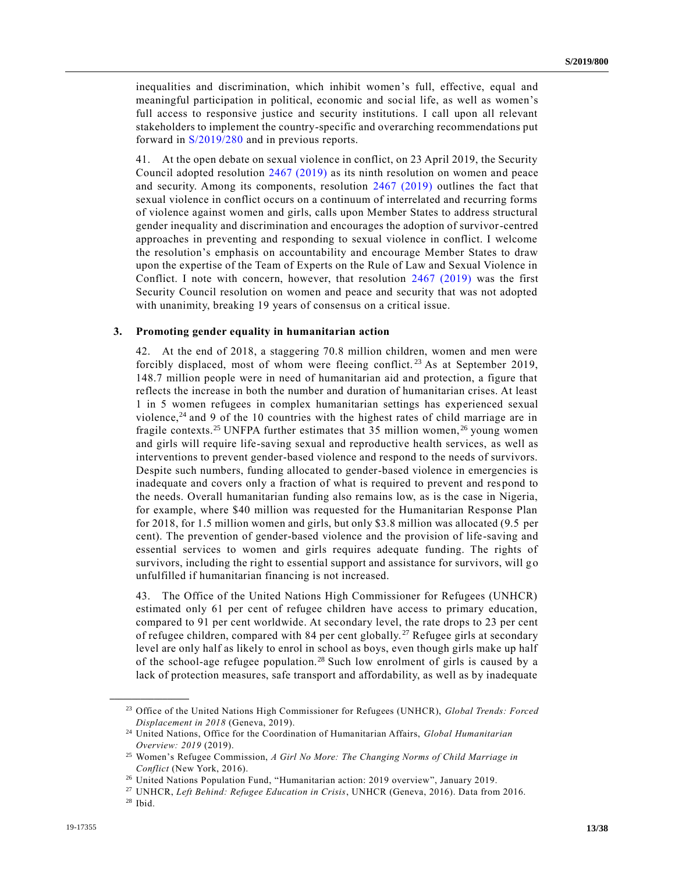inequalities and discrimination, which inhibit women's full, effective, equal and meaningful participation in political, economic and social life, as well as women's full access to responsive justice and security institutions. I call upon all relevant stakeholders to implement the country-specific and overarching recommendations put forward in [S/2019/280](https://undocs.org/en/S/2019/280) and in previous reports.

41. At the open debate on sexual violence in conflict, on 23 April 2019, the Security Council adopted resolution [2467 \(2019\)](https://undocs.org/en/S/RES/2467%20(2019)) as its ninth resolution on women and peace and security. Among its components, resolution [2467 \(2019\)](https://undocs.org/en/S/RES/2467%20(2019)) outlines the fact that sexual violence in conflict occurs on a continuum of interrelated and recurring forms of violence against women and girls, calls upon Member States to address structural gender inequality and discrimination and encourages the adoption of survivor-centred approaches in preventing and responding to sexual violence in conflict. I welcome the resolution's emphasis on accountability and encourage Member States to draw upon the expertise of the Team of Experts on the Rule of Law and Sexual Violence in Conflict. I note with concern, however, that resolution [2467 \(2019\)](https://undocs.org/en/S/RES/2467%20(2019)) was the first Security Council resolution on women and peace and security that was not adopted with unanimity, breaking 19 years of consensus on a critical issue.

### **3. Promoting gender equality in humanitarian action**

42. At the end of 2018, a staggering 70.8 million children, women and men were forcibly displaced, most of whom were fleeing conflict.<sup>23</sup> As at September 2019, 148.7 million people were in need of humanitarian aid and protection, a figure that reflects the increase in both the number and duration of humanitarian crises. At least 1 in 5 women refugees in complex humanitarian settings has experienced sexual violence, $24$  and 9 of the 10 countries with the highest rates of child marriage are in fragile contexts.<sup>25</sup> UNFPA further estimates that 35 million women,  $^{26}$  young women and girls will require life-saving sexual and reproductive health services, as well as interventions to prevent gender-based violence and respond to the needs of survivors. Despite such numbers, funding allocated to gender-based violence in emergencies is inadequate and covers only a fraction of what is required to prevent and respond to the needs. Overall humanitarian funding also remains low, as is the case in Nigeria, for example, where \$40 million was requested for the Humanitarian Response Plan for 2018, for 1.5 million women and girls, but only \$3.8 million was allocated (9.5 per cent). The prevention of gender-based violence and the provision of life-saving and essential services to women and girls requires adequate funding. The rights of survivors, including the right to essential support and assistance for survivors, will go unfulfilled if humanitarian financing is not increased.

43. The Office of the United Nations High Commissioner for Refugees (UNHCR) estimated only 61 per cent of refugee children have access to primary education, compared to 91 per cent worldwide. At secondary level, the rate drops to 23 per cent of refugee children, compared with 84 per cent globally.<sup>27</sup> Refugee girls at secondary level are only half as likely to enrol in school as boys, even though girls make up half of the school-age refugee population.<sup>28</sup> Such low enrolment of girls is caused by a lack of protection measures, safe transport and affordability, as well as by inadequate

<sup>23</sup> Office of the United Nations High Commissioner for Refugees (UNHCR), *Global Trends: Forced Displacement in 2018* (Geneva, 2019).

<sup>24</sup> United Nations, Office for the Coordination of Humanitarian Affairs, *Global Humanitarian Overview: 2019* (2019).

<sup>25</sup> Women's Refugee Commission, *A Girl No More: The Changing Norms of Child Marriage in Conflict* (New York, 2016).

<sup>26</sup> United Nations Population Fund, "Humanitarian action: 2019 overview", January 2019.

<sup>27</sup> UNHCR, *Left Behind: Refugee Education in Crisis*, UNHCR (Geneva, 2016). Data from 2016. <sup>28</sup> Ibid.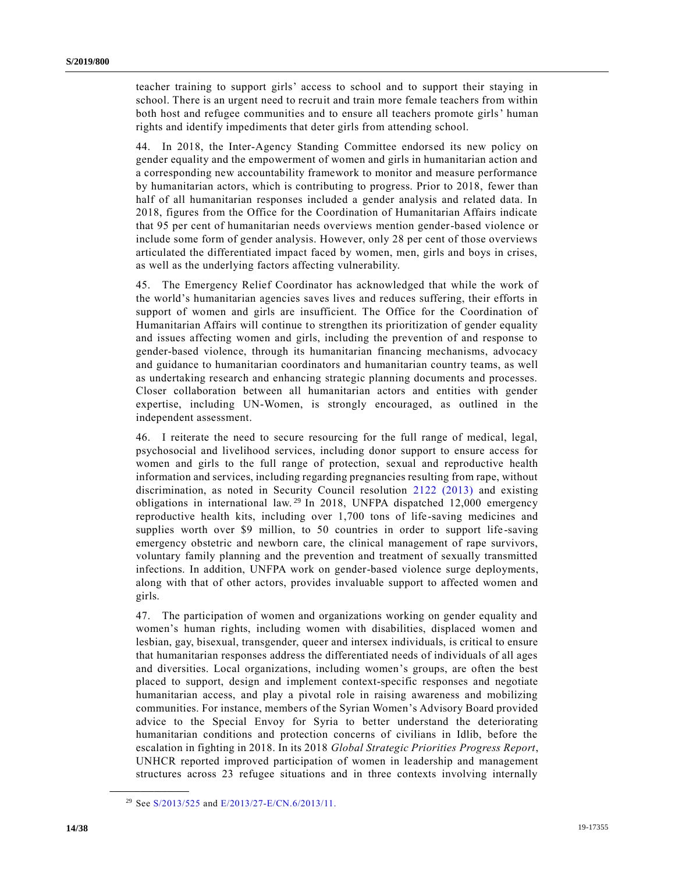teacher training to support girls' access to school and to support their staying in school. There is an urgent need to recruit and train more female teachers from within both host and refugee communities and to ensure all teachers promote girls' human rights and identify impediments that deter girls from attending school.

44. In 2018, the Inter-Agency Standing Committee endorsed its new policy on gender equality and the empowerment of women and girls in humanitarian action and a corresponding new accountability framework to monitor and measure performance by humanitarian actors, which is contributing to progress. Prior to 2018, fewer than half of all humanitarian responses included a gender analysis and related data. In 2018, figures from the Office for the Coordination of Humanitarian Affairs indicate that 95 per cent of humanitarian needs overviews mention gender-based violence or include some form of gender analysis. However, only 28 per cent of those overviews articulated the differentiated impact faced by women, men, girls and boys in crises, as well as the underlying factors affecting vulnerability.

45. The Emergency Relief Coordinator has acknowledged that while the work of the world's humanitarian agencies saves lives and reduces suffering, their efforts in support of women and girls are insufficient. The Office for the Coordination of Humanitarian Affairs will continue to strengthen its prioritization of gender equality and issues affecting women and girls, including the prevention of and response to gender-based violence, through its humanitarian financing mechanisms, advocacy and guidance to humanitarian coordinators and humanitarian country teams, as well as undertaking research and enhancing strategic planning documents and processes. Closer collaboration between all humanitarian actors and entities with gender expertise, including UN-Women, is strongly encouraged, as outlined in the independent assessment.

46. I reiterate the need to secure resourcing for the full range of medical, legal, psychosocial and livelihood services, including donor support to ensure access for women and girls to the full range of protection, sexual and reproductive health information and services, including regarding pregnancies resulting from rape, without discrimination, as noted in Security Council resolution [2122 \(2013\)](https://undocs.org/en/S/RES/2122%20(2013)) and existing obligations in international law.<sup>29</sup> In 2018, UNFPA dispatched 12,000 emergency reproductive health kits, including over 1,700 tons of life-saving medicines and supplies worth over \$9 million, to 50 countries in order to support life-saving emergency obstetric and newborn care, the clinical management of rape survivors, voluntary family planning and the prevention and treatment of sexually transmitted infections. In addition, UNFPA work on gender-based violence surge deployments, along with that of other actors, provides invaluable support to affected women and girls.

47. The participation of women and organizations working on gender equality and women's human rights, including women with disabilities, displaced women and lesbian, gay, bisexual, transgender, queer and intersex individuals, is critical to ensure that humanitarian responses address the differentiated needs of individuals of all ages and diversities. Local organizations, including women's groups, are often the best placed to support, design and implement context-specific responses and negotiate humanitarian access, and play a pivotal role in raising awareness and mobilizing communities. For instance, members of the Syrian Women's Advisory Board provided advice to the Special Envoy for Syria to better understand the deteriorating humanitarian conditions and protection concerns of civilians in Idlib, before the escalation in fighting in 2018. In its 2018 *Global Strategic Priorities Progress Report*, UNHCR reported improved participation of women in leadership and management structures across 23 refugee situations and in three contexts involving internally

<sup>29</sup> See [S/2013/525](https://undocs.org/en/S/2013/525) and [E/2013/27-E/CN.6/2013/11.](https://undocs.org/en/E/2013/27)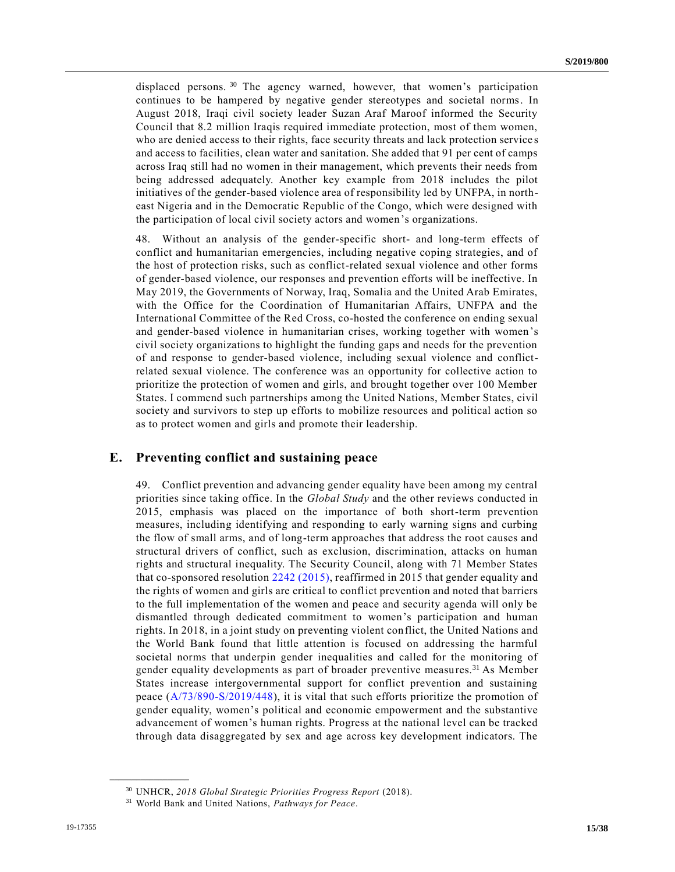displaced persons.<sup>30</sup> The agency warned, however, that women's participation continues to be hampered by negative gender stereotypes and societal norms. In August 2018, Iraqi civil society leader Suzan Araf Maroof informed the Security Council that 8.2 million Iraqis required immediate protection, most of them women, who are denied access to their rights, face security threats and lack protection service s and access to facilities, clean water and sanitation. She added that 91 per cent of camps across Iraq still had no women in their management, which prevents their needs from being addressed adequately. Another key example from 2018 includes the pilot initiatives of the gender-based violence area of responsibility led by UNFPA, in northeast Nigeria and in the Democratic Republic of the Congo, which were designed with the participation of local civil society actors and women's organizations.

48. Without an analysis of the gender-specific short- and long-term effects of conflict and humanitarian emergencies, including negative coping strategies, and of the host of protection risks, such as conflict-related sexual violence and other forms of gender-based violence, our responses and prevention efforts will be ineffective. In May 2019, the Governments of Norway, Iraq, Somalia and the United Arab Emirates, with the Office for the Coordination of Humanitarian Affairs, UNFPA and the International Committee of the Red Cross, co-hosted the conference on ending sexual and gender-based violence in humanitarian crises, working together with women's civil society organizations to highlight the funding gaps and needs for the prevention of and response to gender-based violence, including sexual violence and conflictrelated sexual violence. The conference was an opportunity for collective action to prioritize the protection of women and girls, and brought together over 100 Member States. I commend such partnerships among the United Nations, Member States, civil society and survivors to step up efforts to mobilize resources and political action so as to protect women and girls and promote their leadership.

### **E. Preventing conflict and sustaining peace**

49. Conflict prevention and advancing gender equality have been among my central priorities since taking office. In the *Global Study* and the other reviews conducted in 2015, emphasis was placed on the importance of both short-term prevention measures, including identifying and responding to early warning signs and curbing the flow of small arms, and of long-term approaches that address the root causes and structural drivers of conflict, such as exclusion, discrimination, attacks on human rights and structural inequality. The Security Council, along with 71 Member States that co-sponsored resolution [2242 \(2015\),](https://undocs.org/en/S/RES/2242%20(2015)) reaffirmed in 2015 that gender equality and the rights of women and girls are critical to conflict prevention and noted that barriers to the full implementation of the women and peace and security agenda will only be dismantled through dedicated commitment to women's participation and human rights. In 2018, in a joint study on preventing violent conflict, the United Nations and the World Bank found that little attention is focused on addressing the harmful societal norms that underpin gender inequalities and called for the monitoring of gender equality developments as part of broader preventive measures.<sup>31</sup> As Member States increase intergovernmental support for conflict prevention and sustaining peace [\(A/73/890-S/2019/448\)](https://undocs.org/en/A/73/890), it is vital that such efforts prioritize the promotion of gender equality, women's political and economic empowerment and the substantive advancement of women's human rights. Progress at the national level can be tracked through data disaggregated by sex and age across key development indicators. The

<sup>30</sup> UNHCR, *2018 Global Strategic Priorities Progress Report* (2018).

<sup>31</sup> World Bank and United Nations, *Pathways for Peace*.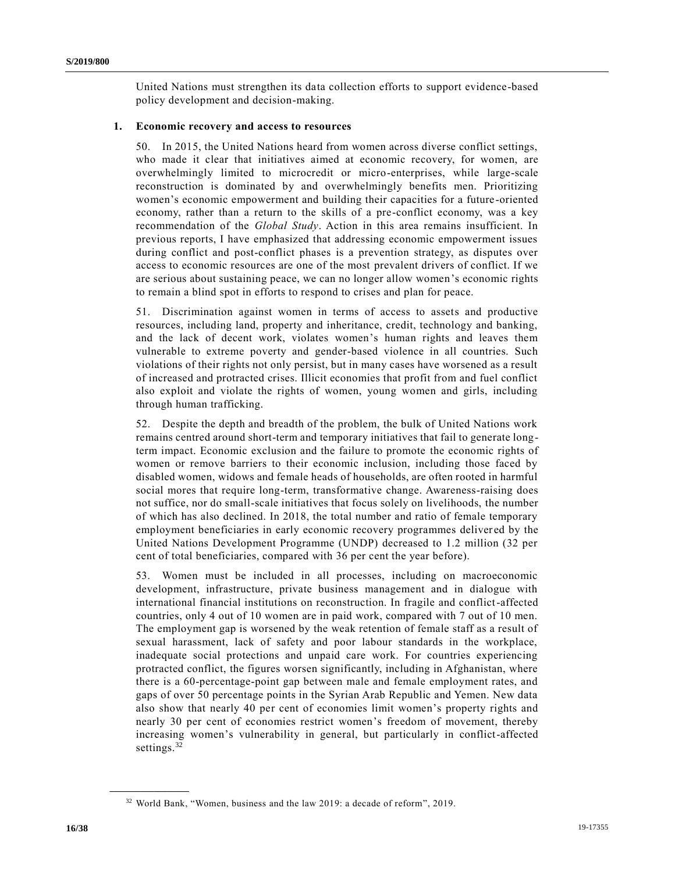United Nations must strengthen its data collection efforts to support evidence-based policy development and decision-making.

#### **1. Economic recovery and access to resources**

50. In 2015, the United Nations heard from women across diverse conflict settings, who made it clear that initiatives aimed at economic recovery, for women, are overwhelmingly limited to microcredit or micro-enterprises, while large-scale reconstruction is dominated by and overwhelmingly benefits men. Prioritizing women's economic empowerment and building their capacities for a future -oriented economy, rather than a return to the skills of a pre-conflict economy, was a key recommendation of the *Global Study*. Action in this area remains insufficient. In previous reports, I have emphasized that addressing economic empowerment issues during conflict and post-conflict phases is a prevention strategy, as disputes over access to economic resources are one of the most prevalent drivers of conflict. If we are serious about sustaining peace, we can no longer allow women's economic rights to remain a blind spot in efforts to respond to crises and plan for peace.

51. Discrimination against women in terms of access to assets and productive resources, including land, property and inheritance, credit, technology and banking, and the lack of decent work, violates women's human rights and leaves them vulnerable to extreme poverty and gender-based violence in all countries. Such violations of their rights not only persist, but in many cases have worsened as a result of increased and protracted crises. Illicit economies that profit from and fuel conflict also exploit and violate the rights of women, young women and girls, including through human trafficking.

52. Despite the depth and breadth of the problem, the bulk of United Nations work remains centred around short-term and temporary initiatives that fail to generate longterm impact. Economic exclusion and the failure to promote the economic rights of women or remove barriers to their economic inclusion, including those faced by disabled women, widows and female heads of households, are often rooted in harmful social mores that require long-term, transformative change. Awareness-raising does not suffice, nor do small-scale initiatives that focus solely on livelihoods, the number of which has also declined. In 2018, the total number and ratio of female temporary employment beneficiaries in early economic recovery programmes deliver ed by the United Nations Development Programme (UNDP) decreased to 1.2 million (32 per cent of total beneficiaries, compared with 36 per cent the year before).

53. Women must be included in all processes, including on macroeconomic development, infrastructure, private business management and in dialogue with international financial institutions on reconstruction. In fragile and conflict-affected countries, only 4 out of 10 women are in paid work, compared with 7 out of 10 men. The employment gap is worsened by the weak retention of female staff as a result of sexual harassment, lack of safety and poor labour standards in the workplace, inadequate social protections and unpaid care work. For countries experiencing protracted conflict, the figures worsen significantly, including in Afghanistan, where there is a 60-percentage-point gap between male and female employment rates, and gaps of over 50 percentage points in the Syrian Arab Republic and Yemen. New data also show that nearly 40 per cent of economies limit women's property rights and nearly 30 per cent of economies restrict women's freedom of movement, thereby increasing women's vulnerability in general, but particularly in conflict-affected settings.<sup>32</sup>

<sup>32</sup> World Bank, "Women, business and the law 2019: a decade of reform", 2019.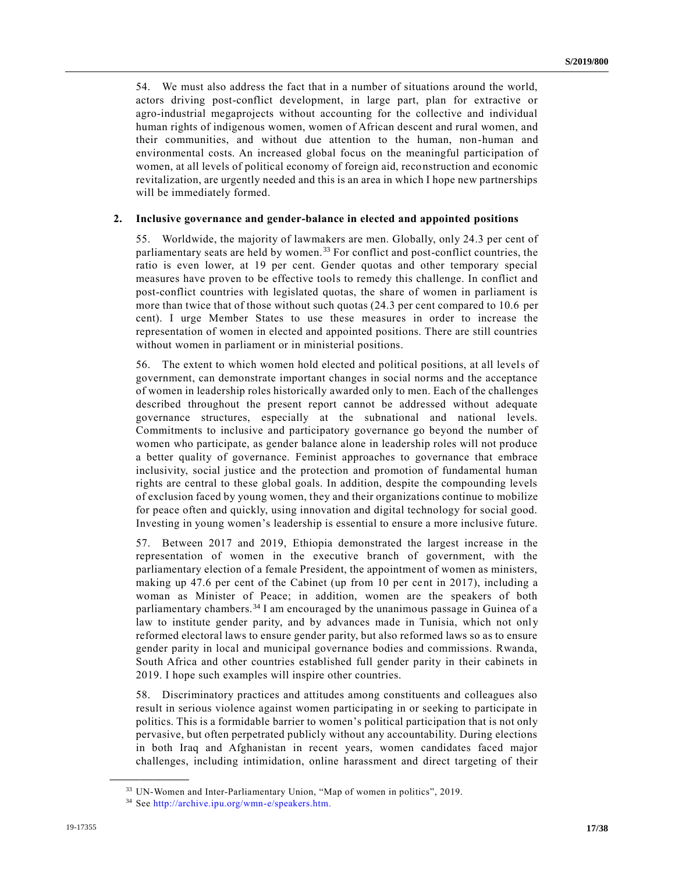54. We must also address the fact that in a number of situations around the world, actors driving post-conflict development, in large part, plan for extractive or agro-industrial megaprojects without accounting for the collective and individual human rights of indigenous women, women of African descent and rural women, and their communities, and without due attention to the human, non-human and environmental costs. An increased global focus on the meaningful participation of women, at all levels of political economy of foreign aid, reconstruction and economic revitalization, are urgently needed and this is an area in which I hope new partnerships will be immediately formed.

#### **2. Inclusive governance and gender-balance in elected and appointed positions**

55. Worldwide, the majority of lawmakers are men. Globally, only 24.3 per cent of parliamentary seats are held by women. <sup>33</sup> For conflict and post-conflict countries, the ratio is even lower, at 19 per cent. Gender quotas and other temporary special measures have proven to be effective tools to remedy this challenge. In conflict and post-conflict countries with legislated quotas, the share of women in parliament is more than twice that of those without such quotas (24.3 per cent compared to 10.6 per cent). I urge Member States to use these measures in order to increase the representation of women in elected and appointed positions. There are still countries without women in parliament or in ministerial positions.

56. The extent to which women hold elected and political positions, at all levels of government, can demonstrate important changes in social norms and the acceptance of women in leadership roles historically awarded only to men. Each of the challenges described throughout the present report cannot be addressed without adequate governance structures, especially at the subnational and national levels. Commitments to inclusive and participatory governance go beyond the number of women who participate, as gender balance alone in leadership roles will not produce a better quality of governance. Feminist approaches to governance that embrace inclusivity, social justice and the protection and promotion of fundamental human rights are central to these global goals. In addition, despite the compounding levels of exclusion faced by young women, they and their organizations continue to mobilize for peace often and quickly, using innovation and digital technology for social good. Investing in young women's leadership is essential to ensure a more inclusive future.

57. Between 2017 and 2019, Ethiopia demonstrated the largest increase in the representation of women in the executive branch of government, with the parliamentary election of a female President, the appointment of women as ministers, making up 47.6 per cent of the Cabinet (up from 10 per cent in 2017), including a woman as Minister of Peace; in addition, women are the speakers of both parliamentary chambers.<sup>34</sup> I am encouraged by the unanimous passage in Guinea of a law to institute gender parity, and by advances made in Tunisia, which not only reformed electoral laws to ensure gender parity, but also reformed laws so as to ensure gender parity in local and municipal governance bodies and commissions. Rwanda, South Africa and other countries established full gender parity in their cabinets in 2019. I hope such examples will inspire other countries.

58. Discriminatory practices and attitudes among constituents and colleagues also result in serious violence against women participating in or seeking to participate in politics. This is a formidable barrier to women's political participation that is not only pervasive, but often perpetrated publicly without any accountability. During elections in both Iraq and Afghanistan in recent years, women candidates faced major challenges, including intimidation, online harassment and direct targeting of their

<sup>&</sup>lt;sup>33</sup> UN-Women and Inter-Parliamentary Union, "Map of women in politics", 2019.

<sup>34</sup> See [http://archive.ipu.org/wmn-e/speakers.htm.](http://archive.ipu.org/wmn-e/speakers.htm)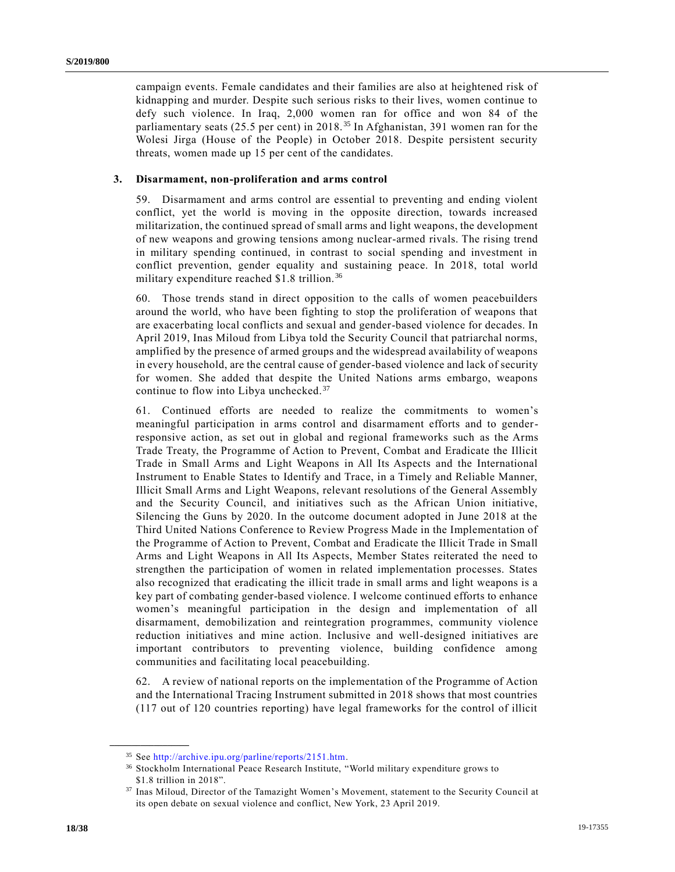campaign events. Female candidates and their families are also at heightened risk of kidnapping and murder. Despite such serious risks to their lives, women continue to defy such violence. In Iraq, 2,000 women ran for office and won 84 of the parliamentary seats (25.5 per cent) in 2018. <sup>35</sup> In Afghanistan, 391 women ran for the Wolesi Jirga (House of the People) in October 2018. Despite persistent security threats, women made up 15 per cent of the candidates.

### **3. Disarmament, non-proliferation and arms control**

59. Disarmament and arms control are essential to preventing and ending violent conflict, yet the world is moving in the opposite direction, towards increased militarization, the continued spread of small arms and light weapons, the development of new weapons and growing tensions among nuclear-armed rivals. The rising trend in military spending continued, in contrast to social spending and investment in conflict prevention, gender equality and sustaining peace. In 2018, total world military expenditure reached \$1.8 trillion. <sup>36</sup>

60. Those trends stand in direct opposition to the calls of women peacebuilders around the world, who have been fighting to stop the proliferation of weapons that are exacerbating local conflicts and sexual and gender-based violence for decades. In April 2019, Inas Miloud from Libya told the Security Council that patriarchal norms, amplified by the presence of armed groups and the widespread availability of weapons in every household, are the central cause of gender-based violence and lack of security for women. She added that despite the United Nations arms embargo, weapons continue to flow into Libya unchecked.<sup>37</sup>

61. Continued efforts are needed to realize the commitments to women's meaningful participation in arms control and disarmament efforts and to genderresponsive action, as set out in global and regional frameworks such as the Arms Trade Treaty, the Programme of Action to Prevent, Combat and Eradicate the Illicit Trade in Small Arms and Light Weapons in All Its Aspects and the International Instrument to Enable States to Identify and Trace, in a Timely and Reliable Manner, Illicit Small Arms and Light Weapons, relevant resolutions of the General Assembly and the Security Council, and initiatives such as the African Union initiative, Silencing the Guns by 2020. In the outcome document adopted in June 2018 at the Third United Nations Conference to Review Progress Made in the Implementation of the Programme of Action to Prevent, Combat and Eradicate the Illicit Trade in Small Arms and Light Weapons in All Its Aspects, Member States reiterated the need to strengthen the participation of women in related implementation processes. States also recognized that eradicating the illicit trade in small arms and light weapons is a key part of combating gender-based violence. I welcome continued efforts to enhance women's meaningful participation in the design and implementation of all disarmament, demobilization and reintegration programmes, community violence reduction initiatives and mine action. Inclusive and well-designed initiatives are important contributors to preventing violence, building confidence among communities and facilitating local peacebuilding.

62. A review of national reports on the implementation of the Programme of Action and the International Tracing Instrument submitted in 2018 shows that most countries (117 out of 120 countries reporting) have legal frameworks for the control of illicit

<sup>35</sup> See [http://archive.ipu.org/parline/reports/2151.htm.](http://archive.ipu.org/parline/reports/2151.htm)

<sup>36</sup> Stockholm International Peace Research Institute, "World military expenditure grows to \$1.8 trillion in 2018".

<sup>37</sup> Inas Miloud, Director of the Tamazight Women's Movement, statement to the Security Council at its open debate on sexual violence and conflict, New York, 23 April 2019.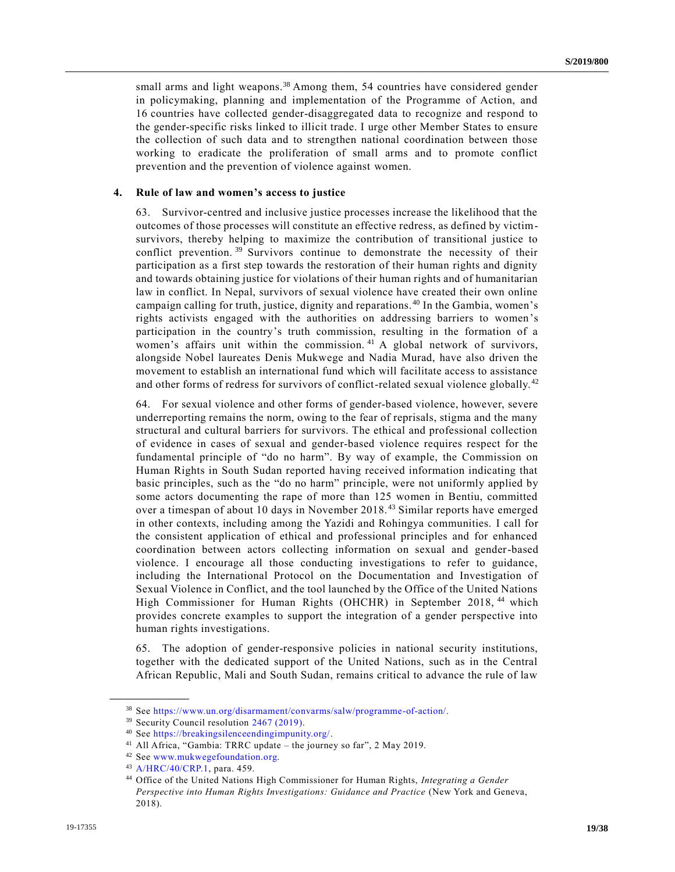small arms and light weapons.<sup>38</sup> Among them, 54 countries have considered gender in policymaking, planning and implementation of the Programme of Action, and 16 countries have collected gender-disaggregated data to recognize and respond to the gender-specific risks linked to illicit trade. I urge other Member States to ensure the collection of such data and to strengthen national coordination between those working to eradicate the proliferation of small arms and to promote conflict prevention and the prevention of violence against women.

#### **4. Rule of law and women's access to justice**

63. Survivor-centred and inclusive justice processes increase the likelihood that the outcomes of those processes will constitute an effective redress, as defined by victimsurvivors, thereby helping to maximize the contribution of transitional justice to conflict prevention. <sup>39</sup> Survivors continue to demonstrate the necessity of their participation as a first step towards the restoration of their human rights and dignity and towards obtaining justice for violations of their human rights and of humanitarian law in conflict. In Nepal, survivors of sexual violence have created their own online campaign calling for truth, justice, dignity and reparations. <sup>40</sup> In the Gambia, women's rights activists engaged with the authorities on addressing barriers to women's participation in the country's truth commission, resulting in the formation of a women's affairs unit within the commission.<sup>41</sup> A global network of survivors, alongside Nobel laureates Denis Mukwege and Nadia Murad, have also driven the movement to establish an international fund which will facilitate access to assistance and other forms of redress for survivors of conflict-related sexual violence globally.<sup>42</sup>

64. For sexual violence and other forms of gender-based violence, however, severe underreporting remains the norm, owing to the fear of reprisals, stigma and the many structural and cultural barriers for survivors. The ethical and professional collection of evidence in cases of sexual and gender-based violence requires respect for the fundamental principle of "do no harm". By way of example, the Commission on Human Rights in South Sudan reported having received information indicating that basic principles, such as the "do no harm" principle, were not uniformly applied by some actors documenting the rape of more than 125 women in Bentiu, committed over a timespan of about 10 days in November 2018. <sup>43</sup> Similar reports have emerged in other contexts, including among the Yazidi and Rohingya communities. I call for the consistent application of ethical and professional principles and for enhanced coordination between actors collecting information on sexual and gender-based violence. I encourage all those conducting investigations to refer to guidance, including the International Protocol on the Documentation and Investigation of Sexual Violence in Conflict, and the tool launched by the Office of the United Nations High Commissioner for Human Rights (OHCHR) in September 2018, <sup>44</sup> which provides concrete examples to support the integration of a gender perspective into human rights investigations.

65. The adoption of gender-responsive policies in national security institutions, together with the dedicated support of the United Nations, such as in the Central African Republic, Mali and South Sudan, remains critical to advance the rule of law

<sup>38</sup> See [https://www.un.org/disarmament/convarms/salw/programme-of-action/.](https://www.un.org/disarmament/convarms/salw/programme-of-action/)

<sup>&</sup>lt;sup>39</sup> Security Council resolution [2467 \(2019\).](https://undocs.org/en/S/RES/2467%20(2019))

<sup>40</sup> See [https://breakingsilenceendingimpunity.org/.](https://breakingsilenceendingimpunity.org/)

<sup>41</sup> All Africa, "Gambia: TRRC update – the journey so far", 2 May 2019.

<sup>42</sup> See [www.mukwegefoundation.org.](https://www.mukwegefoundation.org/)

<sup>43</sup> [A/HRC/40/CRP.1,](https://undocs.org/en/A/HRC/40/CRP.1) para. 459.

<sup>44</sup> Office of the United Nations High Commissioner for Human Rights, *Integrating a Gender Perspective into Human Rights Investigations: Guidance and Practice* (New York and Geneva, 2018).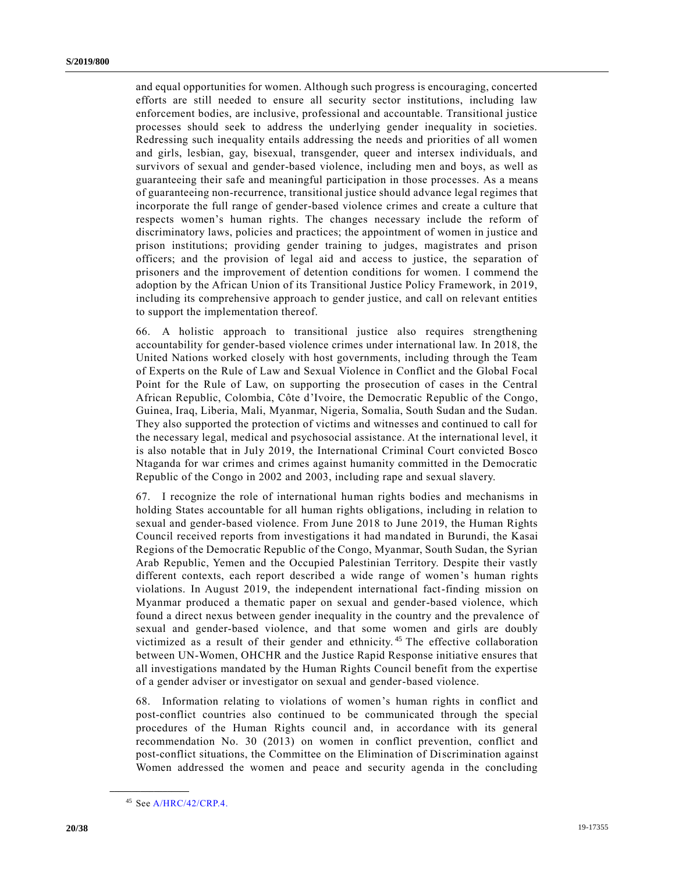and equal opportunities for women. Although such progress is encouraging, concerted efforts are still needed to ensure all security sector institutions, including law enforcement bodies, are inclusive, professional and accountable. Transitional justice processes should seek to address the underlying gender inequality in societies. Redressing such inequality entails addressing the needs and priorities of all women and girls, lesbian, gay, bisexual, transgender, queer and intersex individuals, and survivors of sexual and gender-based violence, including men and boys, as well as guaranteeing their safe and meaningful participation in those processes. As a means of guaranteeing non-recurrence, transitional justice should advance legal regimes that incorporate the full range of gender-based violence crimes and create a culture that respects women's human rights. The changes necessary include the reform of discriminatory laws, policies and practices; the appointment of women in justice and prison institutions; providing gender training to judges, magistrates and prison officers; and the provision of legal aid and access to justice, the separation of prisoners and the improvement of detention conditions for women. I commend the adoption by the African Union of its Transitional Justice Policy Framework, in 2019, including its comprehensive approach to gender justice, and call on relevant entities to support the implementation thereof.

66. A holistic approach to transitional justice also requires strengthening accountability for gender-based violence crimes under international law. In 2018, the United Nations worked closely with host governments, including through the Team of Experts on the Rule of Law and Sexual Violence in Conflict and the Global Focal Point for the Rule of Law, on supporting the prosecution of cases in the Central African Republic, Colombia, Côte d'Ivoire, the Democratic Republic of the Congo, Guinea, Iraq, Liberia, Mali, Myanmar, Nigeria, Somalia, South Sudan and the Sudan. They also supported the protection of victims and witnesses and continued to call for the necessary legal, medical and psychosocial assistance. At the international level, it is also notable that in July 2019, the International Criminal Court convicted Bosco Ntaganda for war crimes and crimes against humanity committed in the Democratic Republic of the Congo in 2002 and 2003, including rape and sexual slavery.

67. I recognize the role of international human rights bodies and mechanisms in holding States accountable for all human rights obligations, including in relation to sexual and gender-based violence. From June 2018 to June 2019, the Human Rights Council received reports from investigations it had mandated in Burundi, the Kasai Regions of the Democratic Republic of the Congo, Myanmar, South Sudan, the Syrian Arab Republic, Yemen and the Occupied Palestinian Territory. Despite their vastly different contexts, each report described a wide range of women's human rights violations. In August 2019, the independent international fact-finding mission on Myanmar produced a thematic paper on sexual and gender-based violence, which found a direct nexus between gender inequality in the country and the prevalence of sexual and gender-based violence, and that some women and girls are doubly victimized as a result of their gender and ethnicity.<sup>45</sup> The effective collaboration between UN-Women, OHCHR and the Justice Rapid Response initiative ensures that all investigations mandated by the Human Rights Council benefit from the expertise of a gender adviser or investigator on sexual and gender-based violence.

68. Information relating to violations of women's human rights in conflict and post-conflict countries also continued to be communicated through the special procedures of the Human Rights council and, in accordance with its general recommendation No. 30 (2013) on women in conflict prevention, conflict and post-conflict situations, the Committee on the Elimination of Discrimination against Women addressed the women and peace and security agenda in the concluding

<sup>45</sup> Se[e A/HRC/42/CRP.4.](https://undocs.org/en/A/HRC/42/CRP.4)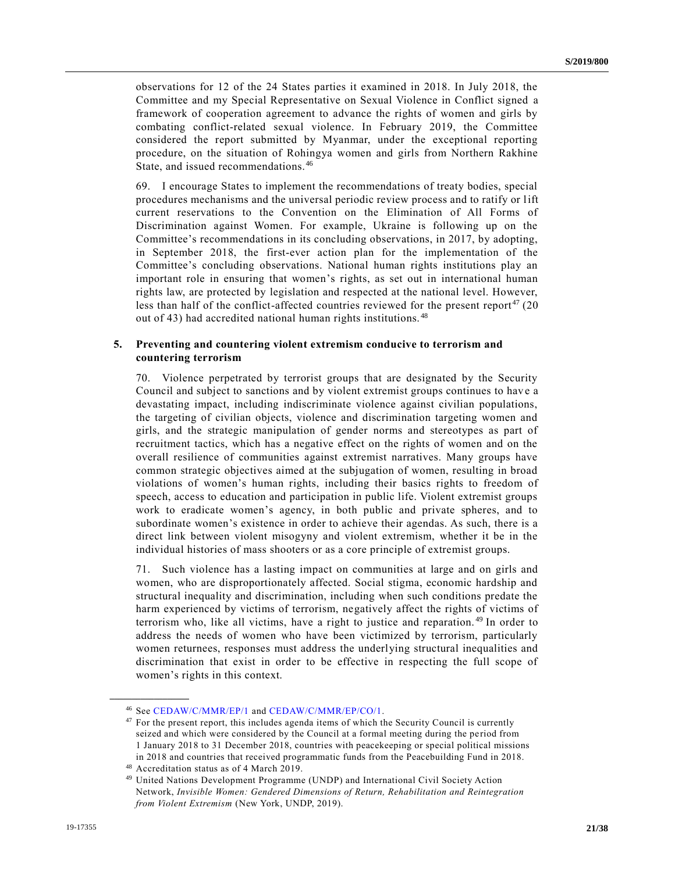observations for 12 of the 24 States parties it examined in 2018. In July 2018, the Committee and my Special Representative on Sexual Violence in Conflict signed a framework of cooperation agreement to advance the rights of women and girls by combating conflict-related sexual violence. In February 2019, the Committee considered the report submitted by Myanmar, under the exceptional reporting procedure, on the situation of Rohingya women and girls from Northern Rakhine State, and issued recommendations.<sup>46</sup>

69. I encourage States to implement the recommendations of treaty bodies, special procedures mechanisms and the universal periodic review process and to ratify or lift current reservations to the Convention on the Elimination of All Forms of Discrimination against Women. For example, Ukraine is following up on the Committee's recommendations in its concluding observations, in 2017, by adopting, in September 2018, the first-ever action plan for the implementation of the Committee's concluding observations. National human rights institutions play an important role in ensuring that women's rights, as set out in international human rights law, are protected by legislation and respected at the national level. However, less than half of the conflict-affected countries reviewed for the present report  $47$  (20) out of 43) had accredited national human rights institutions. <sup>48</sup>

### **5. Preventing and countering violent extremism conducive to terrorism and countering terrorism**

70. Violence perpetrated by terrorist groups that are designated by the Security Council and subject to sanctions and by violent extremist groups continues to hav e a devastating impact, including indiscriminate violence against civilian populations, the targeting of civilian objects, violence and discrimination targeting women and girls, and the strategic manipulation of gender norms and stereotypes as part of recruitment tactics, which has a negative effect on the rights of women and on the overall resilience of communities against extremist narratives. Many groups have common strategic objectives aimed at the subjugation of women, resulting in broad violations of women's human rights, including their basics rights to freedom of speech, access to education and participation in public life. Violent extremist groups work to eradicate women's agency, in both public and private spheres, and to subordinate women's existence in order to achieve their agendas. As such, there is a direct link between violent misogyny and violent extremism, whether it be in the individual histories of mass shooters or as a core principle of extremist groups.

71. Such violence has a lasting impact on communities at large and on girls and women, who are disproportionately affected. Social stigma, economic hardship and structural inequality and discrimination, including when such conditions predate the harm experienced by victims of terrorism, negatively affect the rights of victims of terrorism who, like all victims, have a right to justice and reparation. <sup>49</sup> In order to address the needs of women who have been victimized by terrorism, particularly women returnees, responses must address the underlying structural inequalities and discrimination that exist in order to be effective in respecting the full scope of women's rights in this context.

<sup>46</sup> See [CEDAW/C/MMR/EP/1](https://undocs.org/en/CEDAW/C/MMR/EP/1) and [CEDAW/C/MMR/EP/CO/1.](https://undocs.org/en/CEDAW/C/MMR/EP/CO/1)

<sup>&</sup>lt;sup>47</sup> For the present report, this includes agenda items of which the Security Council is currently seized and which were considered by the Council at a formal meeting during the pe riod from 1 January 2018 to 31 December 2018, countries with peacekeeping or special political missions in 2018 and countries that received programmatic funds from the Peacebuilding Fund in 2018.

<sup>48</sup> Accreditation status as of 4 March 2019.

<sup>49</sup> United Nations Development Programme (UNDP) and International Civil Society Action Network, *Invisible Women: Gendered Dimensions of Return, Rehabilitation and Reintegration from Violent Extremism* (New York, UNDP, 2019).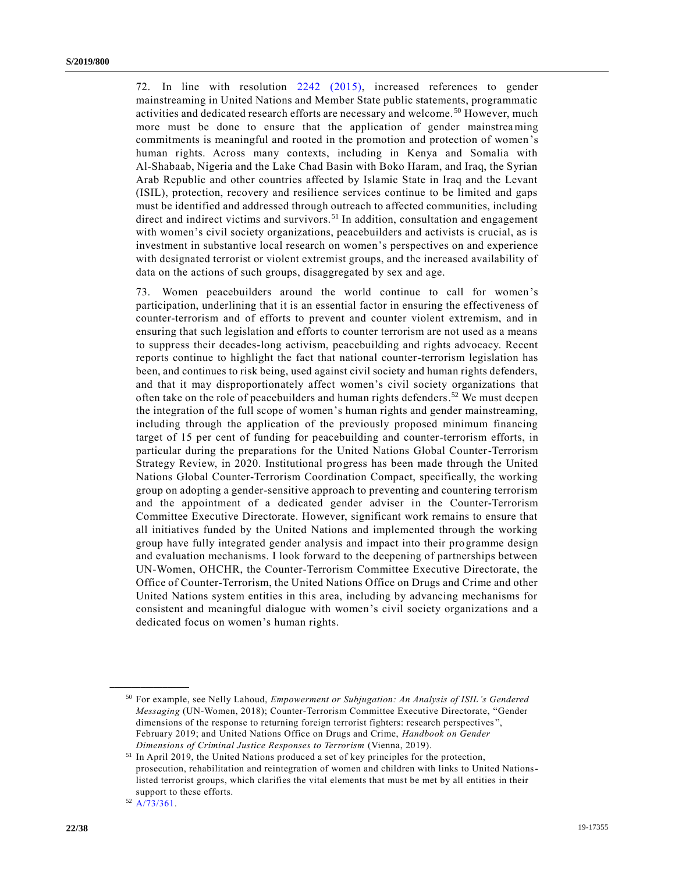72. In line with resolution [2242 \(2015\),](https://undocs.org/en/S/RES/2242%20(2015)) increased references to gender mainstreaming in United Nations and Member State public statements, programmatic activities and dedicated research efforts are necessary and welcome. <sup>50</sup> However, much more must be done to ensure that the application of gender mainstreaming commitments is meaningful and rooted in the promotion and protection of women 's human rights. Across many contexts, including in Kenya and Somalia with Al-Shabaab, Nigeria and the Lake Chad Basin with Boko Haram, and Iraq, the Syrian Arab Republic and other countries affected by Islamic State in Iraq and the Levant (ISIL), protection, recovery and resilience services continue to be limited and gaps must be identified and addressed through outreach to affected communities, including direct and indirect victims and survivors.<sup>51</sup> In addition, consultation and engagement with women's civil society organizations, peacebuilders and activists is crucial, as is investment in substantive local research on women's perspectives on and experience with designated terrorist or violent extremist groups, and the increased availability of data on the actions of such groups, disaggregated by sex and age.

73. Women peacebuilders around the world continue to call for women's participation, underlining that it is an essential factor in ensuring the effectiveness of counter-terrorism and of efforts to prevent and counter violent extremism, and in ensuring that such legislation and efforts to counter terrorism are not used as a means to suppress their decades-long activism, peacebuilding and rights advocacy. Recent reports continue to highlight the fact that national counter-terrorism legislation has been, and continues to risk being, used against civil society and human rights defenders, and that it may disproportionately affect women's civil society organizations that often take on the role of peacebuilders and human rights defenders.<sup>52</sup> We must deepen the integration of the full scope of women's human rights and gender mainstreaming, including through the application of the previously proposed minimum financing target of 15 per cent of funding for peacebuilding and counter-terrorism efforts, in particular during the preparations for the United Nations Global Counter-Terrorism Strategy Review, in 2020. Institutional progress has been made through the United Nations Global Counter-Terrorism Coordination Compact, specifically, the working group on adopting a gender-sensitive approach to preventing and countering terrorism and the appointment of a dedicated gender adviser in the Counter-Terrorism Committee Executive Directorate. However, significant work remains to ensure that all initiatives funded by the United Nations and implemented through the working group have fully integrated gender analysis and impact into their pro gramme design and evaluation mechanisms. I look forward to the deepening of partnerships between UN-Women, OHCHR, the Counter-Terrorism Committee Executive Directorate, the Office of Counter-Terrorism, the United Nations Office on Drugs and Crime and other United Nations system entities in this area, including by advancing mechanisms for consistent and meaningful dialogue with women's civil society organizations and a dedicated focus on women's human rights.

<sup>50</sup> For example, see Nelly Lahoud, *Empowerment or Subjugation: An Analysis of ISIL's Gendered Messaging* (UN-Women, 2018); Counter-Terrorism Committee Executive Directorate, "Gender dimensions of the response to returning foreign terrorist fighters: research perspectives ", February 2019; and United Nations Office on Drugs and Crime, *Handbook on Gender Dimensions of Criminal Justice Responses to Terrorism* (Vienna, 2019).

<sup>51</sup> In April 2019, the United Nations produced a set of key principles for the protection, prosecution, rehabilitation and reintegration of women and children with links to United Nationslisted terrorist groups, which clarifies the vital elements that must be met by all entities in their support to these efforts.

<sup>52</sup> [A/73/361.](https://undocs.org/en/A/73/361)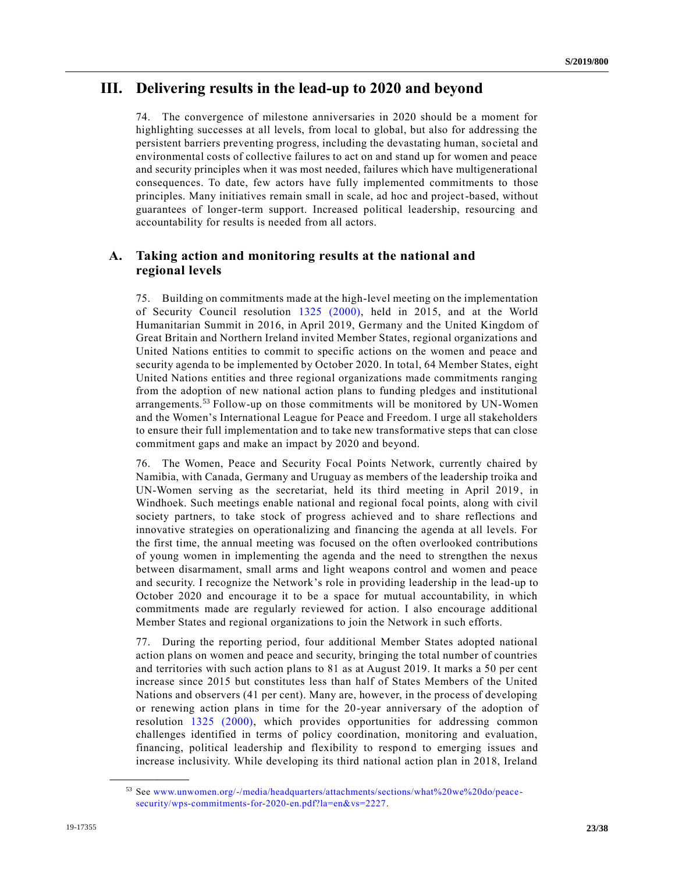## **III. Delivering results in the lead-up to 2020 and beyond**

74. The convergence of milestone anniversaries in 2020 should be a moment for highlighting successes at all levels, from local to global, but also for addressing the persistent barriers preventing progress, including the devastating human, societal and environmental costs of collective failures to act on and stand up for women and peace and security principles when it was most needed, failures which have multigenerational consequences. To date, few actors have fully implemented commitments to those principles. Many initiatives remain small in scale, ad hoc and project-based, without guarantees of longer-term support. Increased political leadership, resourcing and accountability for results is needed from all actors.

## **A. Taking action and monitoring results at the national and regional levels**

75. Building on commitments made at the high-level meeting on the implementation of Security Council resolution [1325 \(2000\),](https://undocs.org/en/S/RES/1325%20(2000)) held in 2015, and at the World Humanitarian Summit in 2016, in April 2019, Germany and the United Kingdom of Great Britain and Northern Ireland invited Member States, regional organizations and United Nations entities to commit to specific actions on the women and peace and security agenda to be implemented by October 2020. In total, 64 Member States, eight United Nations entities and three regional organizations made commitments ranging from the adoption of new national action plans to funding pledges and institutional arrangements.<sup>53</sup> Follow-up on those commitments will be monitored by UN-Women and the Women's International League for Peace and Freedom. I urge all stakeholders to ensure their full implementation and to take new transformative steps that can close commitment gaps and make an impact by 2020 and beyond.

76. The Women, Peace and Security Focal Points Network, currently chaired by Namibia, with Canada, Germany and Uruguay as members of the leadership troika and UN-Women serving as the secretariat, held its third meeting in April 2019, in Windhoek. Such meetings enable national and regional focal points, along with civil society partners, to take stock of progress achieved and to share reflections and innovative strategies on operationalizing and financing the agenda at all levels. For the first time, the annual meeting was focused on the often overlooked contributions of young women in implementing the agenda and the need to strengthen the nexus between disarmament, small arms and light weapons control and women and peace and security. I recognize the Network's role in providing leadership in the lead-up to October 2020 and encourage it to be a space for mutual accountability, in which commitments made are regularly reviewed for action. I also encourage additional Member States and regional organizations to join the Network in such efforts.

77. During the reporting period, four additional Member States adopted national action plans on women and peace and security, bringing the total number of countries and territories with such action plans to 81 as at August 2019. It marks a 50 per cent increase since 2015 but constitutes less than half of States Members of the United Nations and observers (41 per cent). Many are, however, in the process of developing or renewing action plans in time for the 20-year anniversary of the adoption of resolution [1325 \(2000\),](https://undocs.org/en/S/RES/1325%20(2000)) which provides opportunities for addressing common challenges identified in terms of policy coordination, monitoring and evaluation, financing, political leadership and flexibility to respond to emerging issues and increase inclusivity. While developing its third national action plan in 2018, Ireland

<sup>53</sup> See [www.unwomen.org/-/media/headquarters/attachments/sections/what%20we%20do/peace](http://www.unwomen.org/-/media/headquarters/attachments/sections/what%20we%20do/peace-security/wps-commitments-for-2020-en.pdf?la=en&vs=2227)[security/wps-commitments-for-2020-en.pdf?la=en&vs=2227.](http://www.unwomen.org/-/media/headquarters/attachments/sections/what%20we%20do/peace-security/wps-commitments-for-2020-en.pdf?la=en&vs=2227)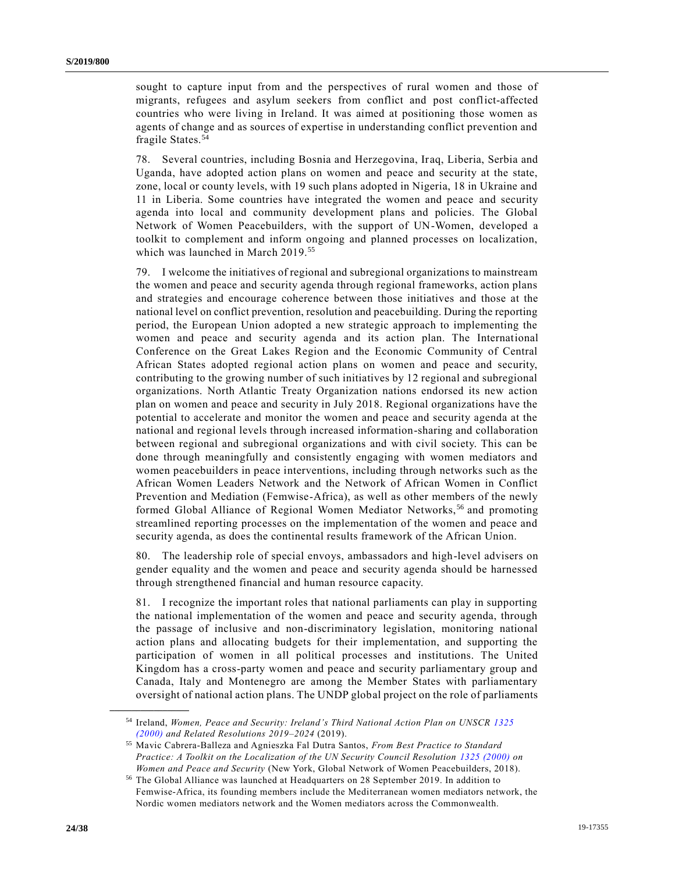sought to capture input from and the perspectives of rural women and those of migrants, refugees and asylum seekers from conflict and post conflict-affected countries who were living in Ireland. It was aimed at positioning those women as agents of change and as sources of expertise in understanding conflict prevention and fragile States.<sup>54</sup>

78. Several countries, including Bosnia and Herzegovina, Iraq, Liberia, Serbia and Uganda, have adopted action plans on women and peace and security at the state, zone, local or county levels, with 19 such plans adopted in Nigeria, 18 in Ukraine and 11 in Liberia. Some countries have integrated the women and peace and security agenda into local and community development plans and policies. The Global Network of Women Peacebuilders, with the support of UN-Women, developed a toolkit to complement and inform ongoing and planned processes on localization, which was launched in March 2019.<sup>55</sup>

79. I welcome the initiatives of regional and subregional organizations to mainstream the women and peace and security agenda through regional frameworks, action plans and strategies and encourage coherence between those initiatives and those at the national level on conflict prevention, resolution and peacebuilding. During the reporting period, the European Union adopted a new strategic approach to implementing the women and peace and security agenda and its action plan. The International Conference on the Great Lakes Region and the Economic Community of Central African States adopted regional action plans on women and peace and security, contributing to the growing number of such initiatives by 12 regional and subregional organizations. North Atlantic Treaty Organization nations endorsed its new action plan on women and peace and security in July 2018. Regional organizations have the potential to accelerate and monitor the women and peace and security agenda at the national and regional levels through increased information-sharing and collaboration between regional and subregional organizations and with civil society. This can be done through meaningfully and consistently engaging with women mediators and women peacebuilders in peace interventions, including through networks such as the African Women Leaders Network and the Network of African Women in Conflict Prevention and Mediation (Femwise-Africa), as well as other members of the newly formed Global Alliance of Regional Women Mediator Networks,<sup>56</sup> and promoting streamlined reporting processes on the implementation of the women and peace and security agenda, as does the continental results framework of the African Union.

80. The leadership role of special envoys, ambassadors and high-level advisers on gender equality and the women and peace and security agenda should be harnessed through strengthened financial and human resource capacity.

81. I recognize the important roles that national parliaments can play in supporting the national implementation of the women and peace and security agenda, through the passage of inclusive and non-discriminatory legislation, monitoring national action plans and allocating budgets for their implementation, and supporting the participation of women in all political processes and institutions. The United Kingdom has a cross-party women and peace and security parliamentary group and Canada, Italy and Montenegro are among the Member States with parliamentary oversight of national action plans. The UNDP global project on the role of parliaments

<sup>54</sup> Ireland, *Women, Peace and Security: Ireland's Third National Action Plan on UNSCR [1325](https://undocs.org/en/S/RES/1325%20(2000))  [\(2000\)](https://undocs.org/en/S/RES/1325%20(2000)) and Related Resolutions 2019–2024* (2019).

<sup>55</sup> Mavic Cabrera-Balleza and Agnieszka Fal Dutra Santos, *From Best Practice to Standard Practice: A Toolkit on the Localization of the UN Security Council Resolution [1325 \(2000\)](https://undocs.org/en/S/RES/1325%20(2000)) on Women and Peace and Security* (New York, Global Network of Women Peacebuilders, 2018).

<sup>56</sup> The Global Alliance was launched at Headquarters on 28 September 2019. In addition to Femwise-Africa, its founding members include the Mediterranean women mediators network, the Nordic women mediators network and the Women mediators across the Commonwealth.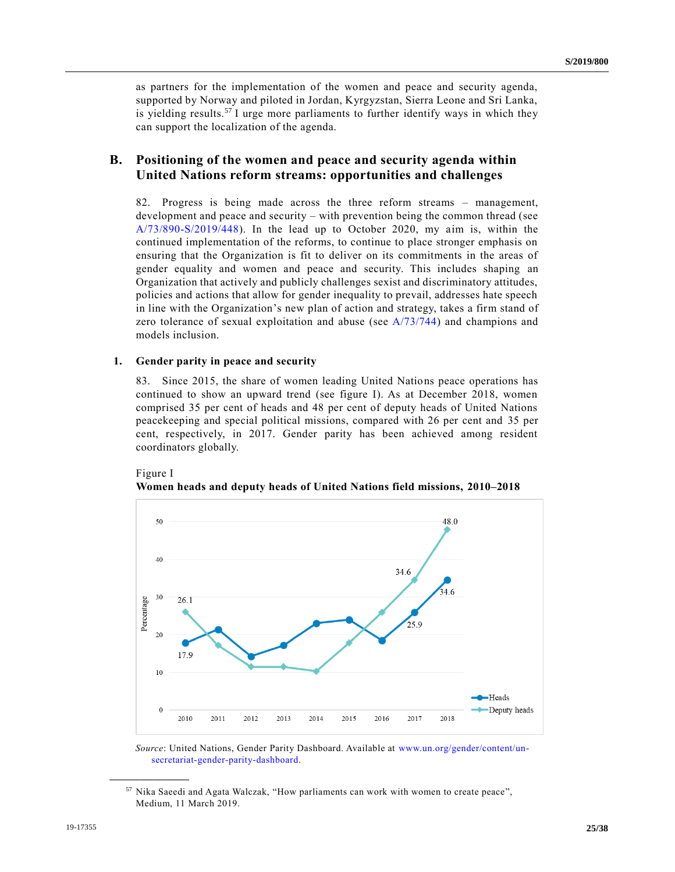as partners for the implementation of the women and peace and security agenda, supported by Norway and piloted in Jordan, Kyrgyzstan, Sierra Leone and Sri Lanka, is yielding results.<sup>57</sup> I urge more parliaments to further identify ways in which they can support the localization of the agenda.

### **B. Positioning of the women and peace and security agenda within United Nations reform streams: opportunities and challenges**

82. Progress is being made across the three reform streams – management, development and peace and security – with prevention being the common thread (see [A/73/890-S/2019/448\)](https://undocs.org/en/A/73/890). In the lead up to October 2020, my aim is, within the continued implementation of the reforms, to continue to place stronger emphasis on ensuring that the Organization is fit to deliver on its commitments in the areas of gender equality and women and peace and security. This includes shaping an Organization that actively and publicly challenges sexist and discriminatory attitudes, policies and actions that allow for gender inequality to prevail, addresses hate speech in line with the Organization's new plan of action and strategy, takes a firm stand of zero tolerance of sexual exploitation and abuse (see [A/73/744\)](https://undocs.org/en/A/73/744) and champions and models inclusion.

#### **1. Gender parity in peace and security**

83. Since 2015, the share of women leading United Nations peace operations has continued to show an upward trend (see figure I). As at December 2018, women comprised 35 per cent of heads and 48 per cent of deputy heads of United Nations peacekeeping and special political missions, compared with 26 per cent and 35 per cent, respectively, in 2017. Gender parity has been achieved among resident coordinators globally.





*Source*: United Nations, Gender Parity Dashboard. Available at [www.un.org/gender/content/un](http://www.un.org/gender/content/un-secretariat-gender-parity-dashboard)[secretariat-gender-parity-dashboard.](http://www.un.org/gender/content/un-secretariat-gender-parity-dashboard)

<sup>&</sup>lt;sup>57</sup> Nika Saeedi and Agata Walczak, "How parliaments can work with women to create peace", Medium, 11 March 2019.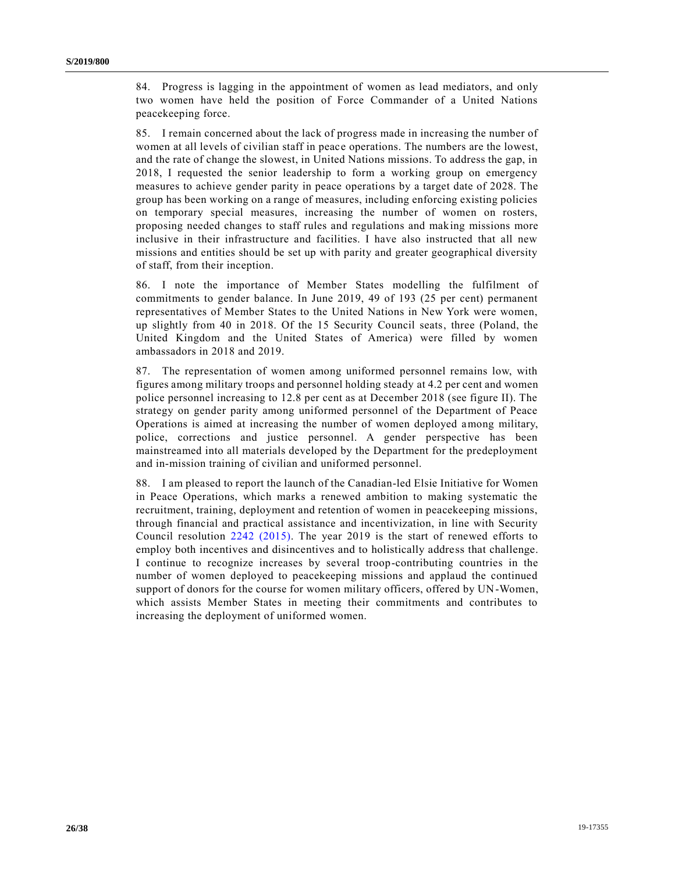84. Progress is lagging in the appointment of women as lead mediators, and only two women have held the position of Force Commander of a United Nations peacekeeping force.

85. I remain concerned about the lack of progress made in increasing the number of women at all levels of civilian staff in peace operations. The numbers are the lowest, and the rate of change the slowest, in United Nations missions. To address the gap, in 2018, I requested the senior leadership to form a working group on emergency measures to achieve gender parity in peace operations by a target date of 2028. The group has been working on a range of measures, including enforcing existing policies on temporary special measures, increasing the number of women on rosters, proposing needed changes to staff rules and regulations and making missions more inclusive in their infrastructure and facilities. I have also instructed that all new missions and entities should be set up with parity and greater geographical diversity of staff, from their inception.

86. I note the importance of Member States modelling the fulfilment of commitments to gender balance. In June 2019, 49 of 193 (25 per cent) permanent representatives of Member States to the United Nations in New York were women, up slightly from 40 in 2018. Of the 15 Security Council seats, three (Poland, the United Kingdom and the United States of America) were filled by women ambassadors in 2018 and 2019.

87. The representation of women among uniformed personnel remains low, with figures among military troops and personnel holding steady at 4.2 per cent and women police personnel increasing to 12.8 per cent as at December 2018 (see figure II). The strategy on gender parity among uniformed personnel of the Department of Peace Operations is aimed at increasing the number of women deployed among military, police, corrections and justice personnel. A gender perspective has been mainstreamed into all materials developed by the Department for the predeployment and in-mission training of civilian and uniformed personnel.

88. I am pleased to report the launch of the Canadian-led Elsie Initiative for Women in Peace Operations, which marks a renewed ambition to making systematic the recruitment, training, deployment and retention of women in peacekeeping missions, through financial and practical assistance and incentivization, in line with Security Council resolution [2242 \(2015\).](https://undocs.org/en/S/RES/2242%20(2015)) The year 2019 is the start of renewed efforts to employ both incentives and disincentives and to holistically address that challenge. I continue to recognize increases by several troop-contributing countries in the number of women deployed to peacekeeping missions and applaud the continued support of donors for the course for women military officers, offered by UN-Women, which assists Member States in meeting their commitments and contributes to increasing the deployment of uniformed women.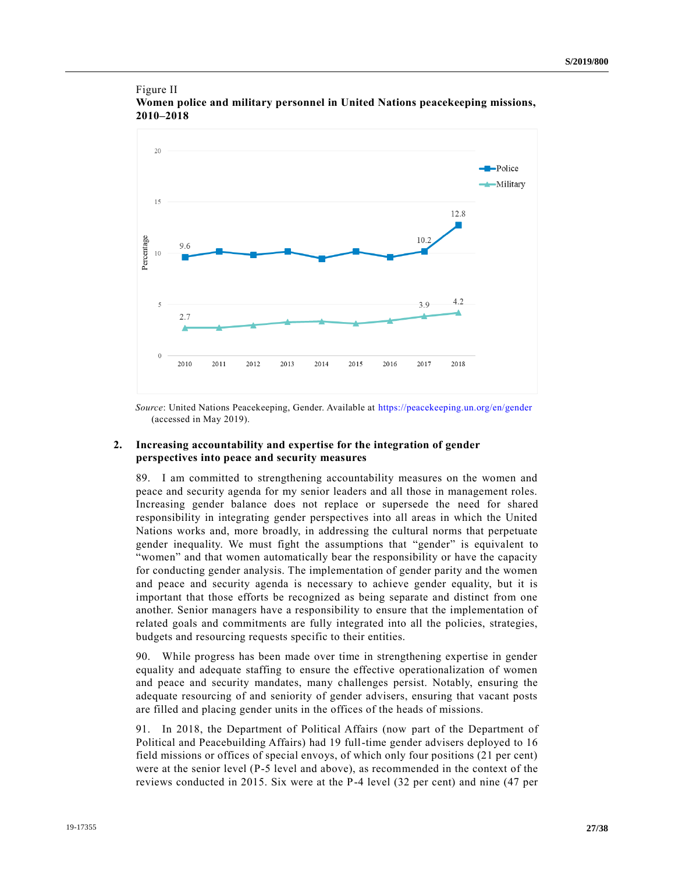### Figure II **Women police and military personnel in United Nations peacekeeping missions, 2010–2018**



*Source*: United Nations Peacekeeping, Gender. Available at<https://peacekeeping.un.org/en/gender> (accessed in May 2019).

### **2. Increasing accountability and expertise for the integration of gender perspectives into peace and security measures**

89. I am committed to strengthening accountability measures on the women and peace and security agenda for my senior leaders and all those in management roles. Increasing gender balance does not replace or supersede the need for shared responsibility in integrating gender perspectives into all areas in which the United Nations works and, more broadly, in addressing the cultural norms that perpetuate gender inequality. We must fight the assumptions that "gender" is equivalent to "women" and that women automatically bear the responsibility or have the capacity for conducting gender analysis. The implementation of gender parity and the women and peace and security agenda is necessary to achieve gender equality, but it is important that those efforts be recognized as being separate and distinct from one another. Senior managers have a responsibility to ensure that the implementation of related goals and commitments are fully integrated into all the policies, strategies, budgets and resourcing requests specific to their entities.

90. While progress has been made over time in strengthening expertise in gender equality and adequate staffing to ensure the effective operationalization of women and peace and security mandates, many challenges persist. Notably, ensuring the adequate resourcing of and seniority of gender advisers, ensuring that vacant posts are filled and placing gender units in the offices of the heads of missions.

91. In 2018, the Department of Political Affairs (now part of the Department of Political and Peacebuilding Affairs) had 19 full-time gender advisers deployed to 16 field missions or offices of special envoys, of which only four positions (21 per cent) were at the senior level (P-5 level and above), as recommended in the context of the reviews conducted in 2015. Six were at the P-4 level (32 per cent) and nine (47 per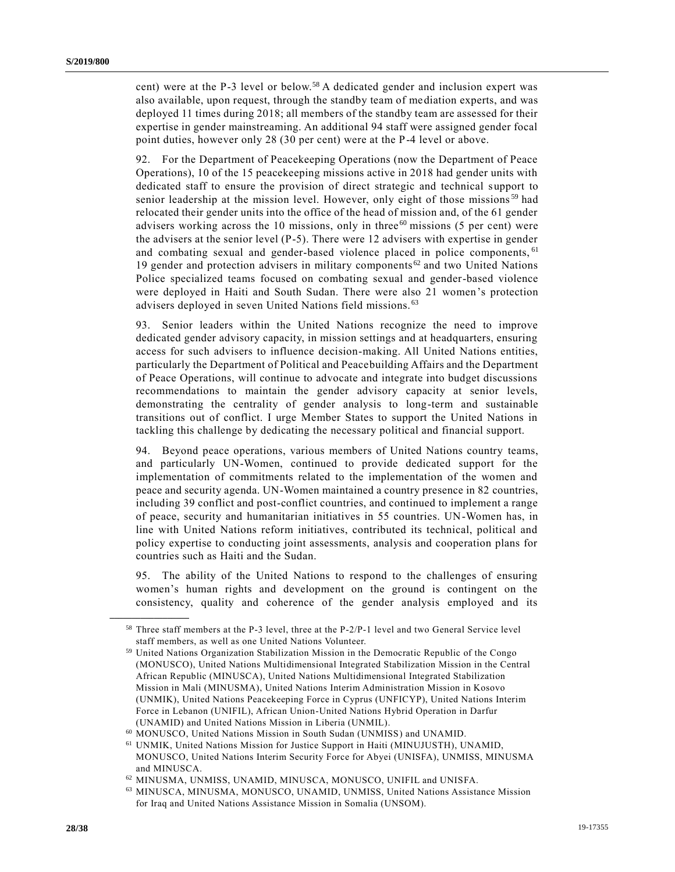cent) were at the P-3 level or below.<sup>58</sup> A dedicated gender and inclusion expert was also available, upon request, through the standby team of mediation experts, and was deployed 11 times during 2018; all members of the standby team are assessed for their expertise in gender mainstreaming. An additional 94 staff were assigned gender focal point duties, however only 28 (30 per cent) were at the P-4 level or above.

92. For the Department of Peacekeeping Operations (now the Department of Peace Operations), 10 of the 15 peacekeeping missions active in 2018 had gender units with dedicated staff to ensure the provision of direct strategic and technical support to senior leadership at the mission level. However, only eight of those missions<sup>59</sup> had relocated their gender units into the office of the head of mission and, of the 61 gender advisers working across the 10 missions, only in three  $60$  missions (5 per cent) were the advisers at the senior level (P-5). There were 12 advisers with expertise in gender and combating sexual and gender-based violence placed in police components, <sup>61</sup> 19 gender and protection advisers in military components <sup>62</sup> and two United Nations Police specialized teams focused on combating sexual and gender-based violence were deployed in Haiti and South Sudan. There were also 21 women's protection advisers deployed in seven United Nations field missions. <sup>63</sup>

93. Senior leaders within the United Nations recognize the need to improve dedicated gender advisory capacity, in mission settings and at headquarters, ensuring access for such advisers to influence decision-making. All United Nations entities, particularly the Department of Political and Peacebuilding Affairs and the Department of Peace Operations, will continue to advocate and integrate into budget discussions recommendations to maintain the gender advisory capacity at senior levels, demonstrating the centrality of gender analysis to long-term and sustainable transitions out of conflict. I urge Member States to support the United Nations in tackling this challenge by dedicating the necessary political and financial support.

94. Beyond peace operations, various members of United Nations country teams, and particularly UN-Women, continued to provide dedicated support for the implementation of commitments related to the implementation of the women and peace and security agenda. UN-Women maintained a country presence in 82 countries, including 39 conflict and post-conflict countries, and continued to implement a range of peace, security and humanitarian initiatives in 55 countries. UN-Women has, in line with United Nations reform initiatives, contributed its technical, political and policy expertise to conducting joint assessments, analysis and cooperation plans for countries such as Haiti and the Sudan.

95. The ability of the United Nations to respond to the challenges of ensuring women's human rights and development on the ground is contingent on the consistency, quality and coherence of the gender analysis employed and its

<sup>58</sup> Three staff members at the P-3 level, three at the P-2/P-1 level and two General Service level staff members, as well as one United Nations Volunteer.

<sup>59</sup> United Nations Organization Stabilization Mission in the Democratic Republic of the Congo (MONUSCO), United Nations Multidimensional Integrated Stabilization Mission in the Central African Republic (MINUSCA), United Nations Multidimensional Integrated Stabilization Mission in Mali (MINUSMA), United Nations Interim Administration Mission in Kosovo (UNMIK), United Nations Peacekeeping Force in Cyprus (UNFICYP), United Nations Interim Force in Lebanon (UNIFIL), African Union-United Nations Hybrid Operation in Darfur (UNAMID) and United Nations Mission in Liberia (UNMIL).

<sup>60</sup> MONUSCO, United Nations Mission in South Sudan (UNMISS) and UNAMID.

<sup>61</sup> UNMIK, United Nations Mission for Justice Support in Haiti (MINUJUSTH), UNAMID, MONUSCO, United Nations Interim Security Force for Abyei (UNISFA), UNMISS, MINUSMA and MINUSCA.

 $^{62}$  MINUSMA, UNMISS, UNAMID, MINUSCA, MONUSCO, UNIFIL and UNISFA.

<sup>63</sup> MINUSCA, MINUSMA, MONUSCO, UNAMID, UNMISS, United Nations Assistance Mission for Iraq and United Nations Assistance Mission in Somalia (UNSOM).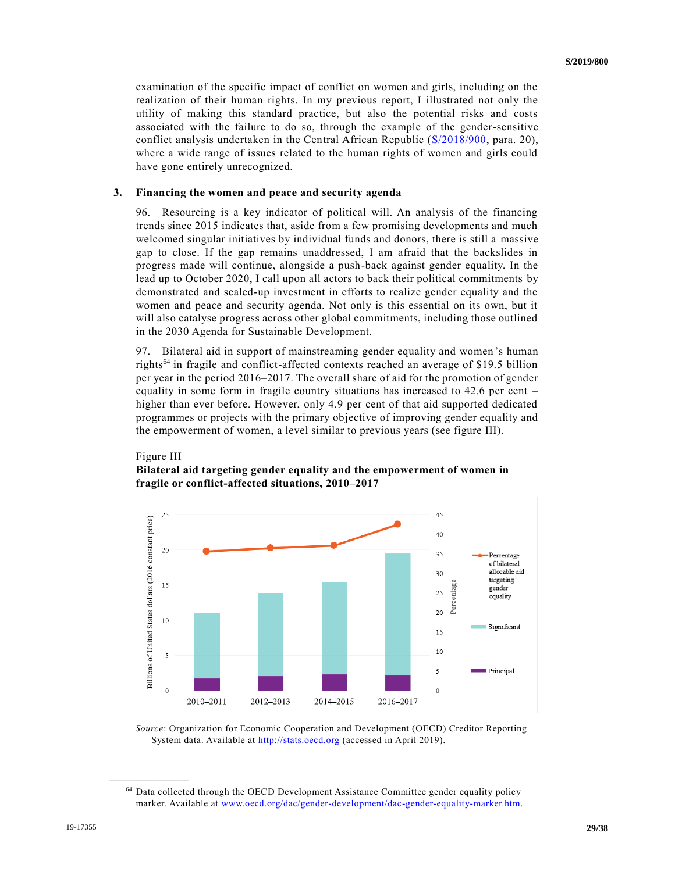examination of the specific impact of conflict on women and girls, including on the realization of their human rights. In my previous report, I illustrated not only the utility of making this standard practice, but also the potential risks and costs associated with the failure to do so, through the example of the gender-sensitive conflict analysis undertaken in the Central African Republic [\(S/2018/900,](https://undocs.org/en/S/2018/900) para. 20), where a wide range of issues related to the human rights of women and girls could have gone entirely unrecognized.

### **3. Financing the women and peace and security agenda**

96. Resourcing is a key indicator of political will. An analysis of the financing trends since 2015 indicates that, aside from a few promising developments and much welcomed singular initiatives by individual funds and donors, there is still a massive gap to close. If the gap remains unaddressed, I am afraid that the backslides in progress made will continue, alongside a push-back against gender equality. In the lead up to October 2020, I call upon all actors to back their political commitments by demonstrated and scaled-up investment in efforts to realize gender equality and the women and peace and security agenda. Not only is this essential on its own, but it will also catalyse progress across other global commitments, including those outlined in the 2030 Agenda for Sustainable Development.

97. Bilateral aid in support of mainstreaming gender equality and women's human rights<sup>64</sup> in fragile and conflict-affected contexts reached an average of \$19.5 billion per year in the period 2016–2017. The overall share of aid for the promotion of gender equality in some form in fragile country situations has increased to 42.6 per cent – higher than ever before. However, only 4.9 per cent of that aid supported dedicated programmes or projects with the primary objective of improving gender equality and the empowerment of women, a level similar to previous years (see figure III).



# Figure III **Bilateral aid targeting gender equality and the empowerment of women in**

*Source*: Organization for Economic Cooperation and Development (OECD) Creditor Reporting System data. Available at [http://stats.oecd.org](http://stats.oecd.org/) (accessed in April 2019).

<sup>64</sup> Data collected through the OECD Development Assistance Committee gender equality policy marker. Available at [www.oecd.org/dac/gender-development/dac-gender-equality-marker.htm.](http://www.oecd.org/dac/gender-development/dac-gender-equality-marker.htm)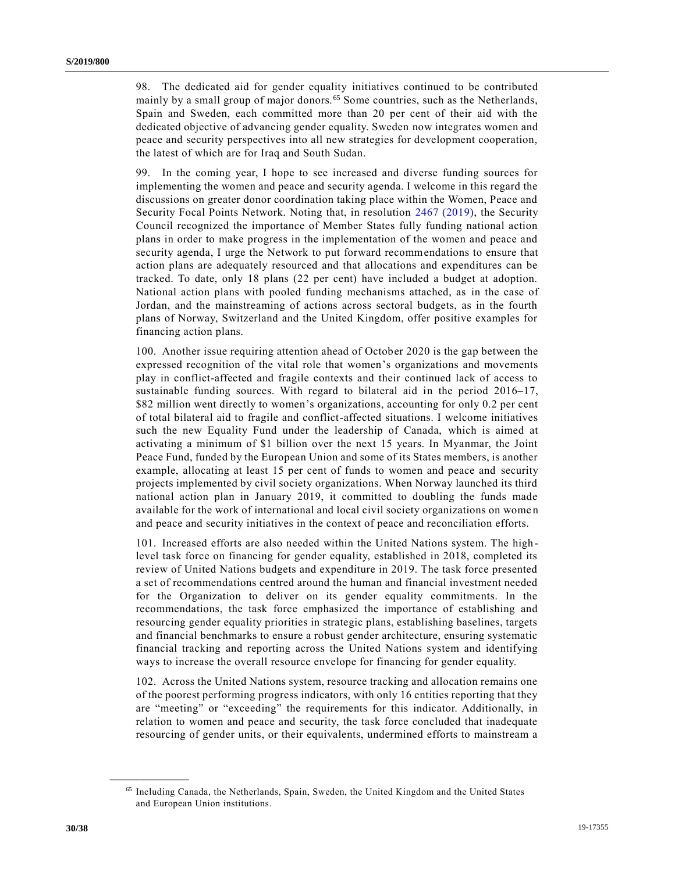98. The dedicated aid for gender equality initiatives continued to be contributed mainly by a small group of major donors.<sup>65</sup> Some countries, such as the Netherlands, Spain and Sweden, each committed more than 20 per cent of their aid with the dedicated objective of advancing gender equality. Sweden now integrates women and peace and security perspectives into all new strategies for development cooperation, the latest of which are for Iraq and South Sudan.

99. In the coming year, I hope to see increased and diverse funding sources for implementing the women and peace and security agenda. I welcome in this regard the discussions on greater donor coordination taking place within the Women, Peace and Security Focal Points Network. Noting that, in resolution [2467 \(2019\),](https://undocs.org/en/S/RES/2467%20(2019)) the Security Council recognized the importance of Member States fully funding national action plans in order to make progress in the implementation of the women and peace and security agenda, I urge the Network to put forward recommendations to ensure that action plans are adequately resourced and that allocations and expenditures can be tracked. To date, only 18 plans (22 per cent) have included a budget at adoption. National action plans with pooled funding mechanisms attached, as in the case of Jordan, and the mainstreaming of actions across sectoral budgets, as in the fourth plans of Norway, Switzerland and the United Kingdom, offer positive examples for financing action plans.

100. Another issue requiring attention ahead of October 2020 is the gap between the expressed recognition of the vital role that women's organizations and movements play in conflict-affected and fragile contexts and their continued lack of access to sustainable funding sources. With regard to bilateral aid in the period 2016–17, \$82 million went directly to women's organizations, accounting for only 0.2 per cent of total bilateral aid to fragile and conflict-affected situations. I welcome initiatives such the new Equality Fund under the leadership of Canada, which is aimed at activating a minimum of \$1 billion over the next 15 years. In Myanmar, the Joint Peace Fund, funded by the European Union and some of its States members, is another example, allocating at least 15 per cent of funds to women and peace and security projects implemented by civil society organizations. When Norway launched its third national action plan in January 2019, it committed to doubling the funds made available for the work of international and local civil society organizations on wome n and peace and security initiatives in the context of peace and reconciliation efforts.

101. Increased efforts are also needed within the United Nations system. The highlevel task force on financing for gender equality, established in 2018, completed its review of United Nations budgets and expenditure in 2019. The task force presented a set of recommendations centred around the human and financial investment needed for the Organization to deliver on its gender equality commitments. In the recommendations, the task force emphasized the importance of establishing and resourcing gender equality priorities in strategic plans, establishing baselines, targets and financial benchmarks to ensure a robust gender architecture, ensuring systematic financial tracking and reporting across the United Nations system and identifying ways to increase the overall resource envelope for financing for gender equality.

102. Across the United Nations system, resource tracking and allocation remains one of the poorest performing progress indicators, with only 16 entities reporting that they are "meeting" or "exceeding" the requirements for this indicator. Additionally, in relation to women and peace and security, the task force concluded that inadequate resourcing of gender units, or their equivalents, undermined efforts to mainstream a

<sup>65</sup> Including Canada, the Netherlands, Spain, Sweden, the United Kingdom and the United States and European Union institutions.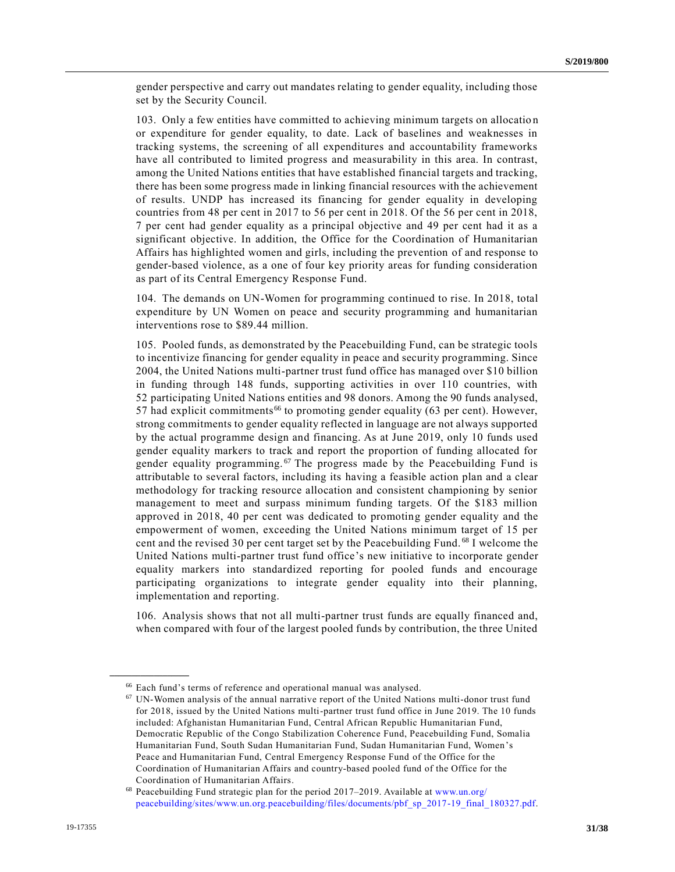gender perspective and carry out mandates relating to gender equality, including those set by the Security Council.

103. Only a few entities have committed to achieving minimum targets on allocatio n or expenditure for gender equality, to date. Lack of baselines and weaknesses in tracking systems, the screening of all expenditures and accountability frameworks have all contributed to limited progress and measurability in this area. In contrast, among the United Nations entities that have established financial targets and tracking, there has been some progress made in linking financial resources with the achievement of results. UNDP has increased its financing for gender equality in developing countries from 48 per cent in 2017 to 56 per cent in 2018. Of the 56 per cent in 2018, 7 per cent had gender equality as a principal objective and 49 per cent had it as a significant objective. In addition, the Office for the Coordination of Humanitarian Affairs has highlighted women and girls, including the prevention of and response to gender-based violence, as a one of four key priority areas for funding consideration as part of its Central Emergency Response Fund.

104. The demands on UN-Women for programming continued to rise. In 2018, total expenditure by UN Women on peace and security programming and humanitarian interventions rose to \$89.44 million.

105. Pooled funds, as demonstrated by the Peacebuilding Fund, can be strategic tools to incentivize financing for gender equality in peace and security programming. Since 2004, the United Nations multi-partner trust fund office has managed over \$10 billion in funding through 148 funds, supporting activities in over 110 countries, with 52 participating United Nations entities and 98 donors. Among the 90 funds analysed, 57 had explicit commitments<sup>66</sup> to promoting gender equality (63 per cent). However, strong commitments to gender equality reflected in language are not always supported by the actual programme design and financing. As at June 2019, only 10 funds used gender equality markers to track and report the proportion of funding allocated for gender equality programming.<sup>67</sup> The progress made by the Peacebuilding Fund is attributable to several factors, including its having a feasible action plan and a clear methodology for tracking resource allocation and consistent championing by senior management to meet and surpass minimum funding targets. Of the \$183 million approved in 2018, 40 per cent was dedicated to promoting gender equality and the empowerment of women, exceeding the United Nations minimum target of 15 per cent and the revised 30 per cent target set by the Peacebuilding Fund. <sup>68</sup> I welcome the United Nations multi-partner trust fund office's new initiative to incorporate gender equality markers into standardized reporting for pooled funds and encourage participating organizations to integrate gender equality into their planning, implementation and reporting.

106. Analysis shows that not all multi-partner trust funds are equally financed and, when compared with four of the largest pooled funds by contribution, the three United

<sup>66</sup> Each fund's terms of reference and operational manual was analysed.

 $67$  UN-Women analysis of the annual narrative report of the United Nations multi-donor trust fund for 2018, issued by the United Nations multi-partner trust fund office in June 2019. The 10 funds included: Afghanistan Humanitarian Fund, Central African Republic Humanitarian Fund, Democratic Republic of the Congo Stabilization Coherence Fund, Peacebuilding Fund, Somalia Humanitarian Fund, South Sudan Humanitarian Fund, Sudan Humanitarian Fund, Women's Peace and Humanitarian Fund, Central Emergency Response Fund of the Office for the Coordination of Humanitarian Affairs and country-based pooled fund of the Office for the Coordination of Humanitarian Affairs.

<sup>68</sup> Peacebuilding Fund strategic plan for the period 2017–2019. Available at [www.un.org/](http://www.un.org/peacebuilding/sites/www.un.org.peacebuilding/files/documents/pbf_sp_2017-19_final_180327.pdf) [peacebuilding/sites/www.un.org.peacebuilding/files/documents/pbf\\_sp\\_2017-19\\_final\\_180327.pdf.](http://www.un.org/peacebuilding/sites/www.un.org.peacebuilding/files/documents/pbf_sp_2017-19_final_180327.pdf)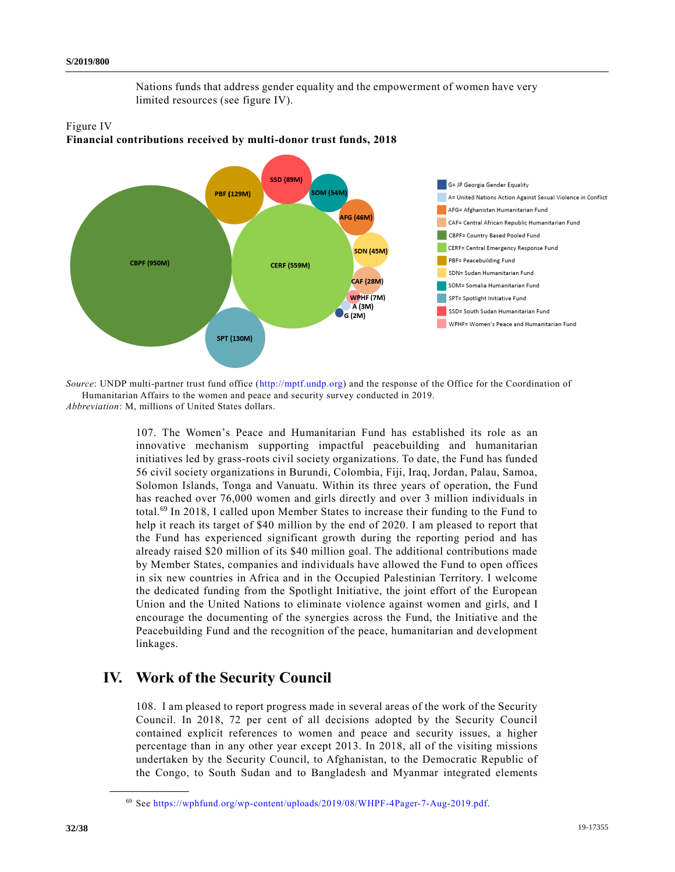Nations funds that address gender equality and the empowerment of women have very limited resources (see figure IV).



## Figure IV **Financial contributions received by multi-donor trust funds, 2018**

*Source*: UNDP multi-partner trust fund office [\(http://mptf.undp.org\)](http://mptf.undp.org/) and the response of the Office for the Coordination of Humanitarian Affairs to the women and peace and security survey conducted in 2019.

*Abbreviation*: M, millions of United States dollars.

107. The Women's Peace and Humanitarian Fund has established its role as an innovative mechanism supporting impactful peacebuilding and humanitarian initiatives led by grass-roots civil society organizations. To date, the Fund has funded 56 civil society organizations in Burundi, Colombia, Fiji, Iraq, Jordan, Palau, Samoa, Solomon Islands, Tonga and Vanuatu. Within its three years of operation, the Fund has reached over 76,000 women and girls directly and over 3 million individuals in total.<sup>69</sup> In 2018, I called upon Member States to increase their funding to the Fund to help it reach its target of \$40 million by the end of 2020. I am pleased to report that the Fund has experienced significant growth during the reporting period and has already raised \$20 million of its \$40 million goal. The additional contributions made by Member States, companies and individuals have allowed the Fund to open offices in six new countries in Africa and in the Occupied Palestinian Territory. I welcome the dedicated funding from the Spotlight Initiative, the joint effort of the European Union and the United Nations to eliminate violence against women and girls, and I encourage the documenting of the synergies across the Fund, the Initiative and the Peacebuilding Fund and the recognition of the peace, humanitarian and development linkages.

# **IV. Work of the Security Council**

108. I am pleased to report progress made in several areas of the work of the Security Council. In 2018, 72 per cent of all decisions adopted by the Security Council contained explicit references to women and peace and security issues, a higher percentage than in any other year except 2013. In 2018, all of the visiting missions undertaken by the Security Council, to Afghanistan, to the Democratic Republic of the Congo, to South Sudan and to Bangladesh and Myanmar integrated elements

<sup>69</sup> See [https://wphfund.org/wp-content/uploads/2019/08/WHPF-4Pager-7-Aug-2019.pdf.](https://wphfund.org/wp-content/uploads/2019/08/WHPF-4Pager-7-Aug-2019.pdf)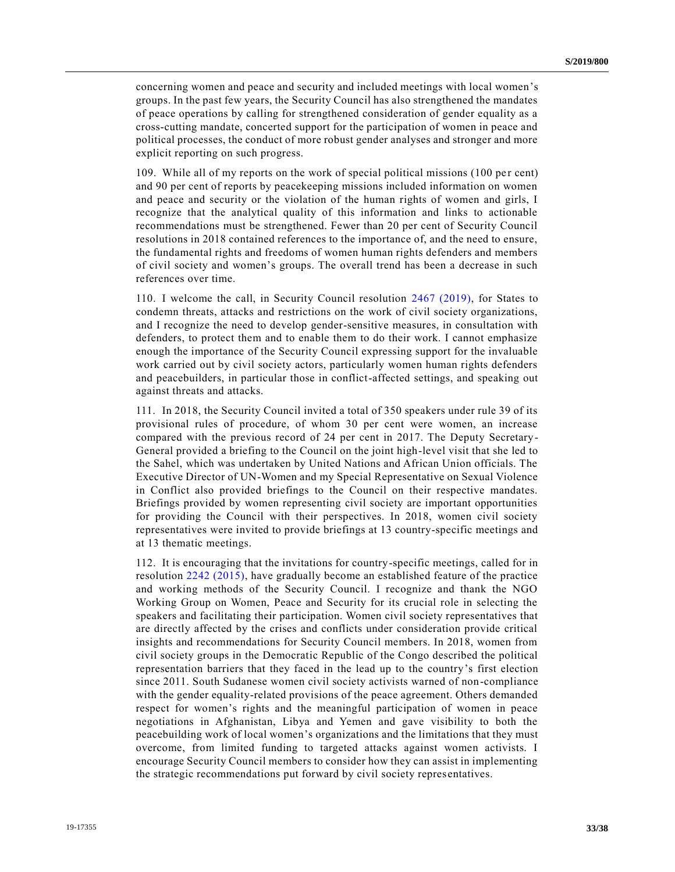concerning women and peace and security and included meetings with local women's groups. In the past few years, the Security Council has also strengthened the mandates of peace operations by calling for strengthened consideration of gender equality as a cross-cutting mandate, concerted support for the participation of women in peace and political processes, the conduct of more robust gender analyses and stronger and more explicit reporting on such progress.

109. While all of my reports on the work of special political missions (100 per cent) and 90 per cent of reports by peacekeeping missions included information on women and peace and security or the violation of the human rights of women and girls, I recognize that the analytical quality of this information and links to actionable recommendations must be strengthened. Fewer than 20 per cent of Security Council resolutions in 2018 contained references to the importance of, and the need to ensure, the fundamental rights and freedoms of women human rights defenders and members of civil society and women's groups. The overall trend has been a decrease in such references over time.

110. I welcome the call, in Security Council resolution [2467 \(2019\),](https://undocs.org/en/S/RES/2467%20(2019)) for States to condemn threats, attacks and restrictions on the work of civil society organizations, and I recognize the need to develop gender-sensitive measures, in consultation with defenders, to protect them and to enable them to do their work. I cannot emphasize enough the importance of the Security Council expressing support for the invaluable work carried out by civil society actors, particularly women human rights defenders and peacebuilders, in particular those in conflict-affected settings, and speaking out against threats and attacks.

111. In 2018, the Security Council invited a total of 350 speakers under rule 39 of its provisional rules of procedure, of whom 30 per cent were women, an increase compared with the previous record of 24 per cent in 2017. The Deputy Secretary-General provided a briefing to the Council on the joint high-level visit that she led to the Sahel, which was undertaken by United Nations and African Union officials. The Executive Director of UN-Women and my Special Representative on Sexual Violence in Conflict also provided briefings to the Council on their respective mandates. Briefings provided by women representing civil society are important opportunities for providing the Council with their perspectives. In 2018, women civil society representatives were invited to provide briefings at 13 country-specific meetings and at 13 thematic meetings.

112. It is encouraging that the invitations for country-specific meetings, called for in resolution [2242 \(2015\),](https://undocs.org/en/S/RES/2242%20(2015)) have gradually become an established feature of the practice and working methods of the Security Council. I recognize and thank the NGO Working Group on Women, Peace and Security for its crucial role in selecting the speakers and facilitating their participation. Women civil society representatives that are directly affected by the crises and conflicts under consideration provide critical insights and recommendations for Security Council members. In 2018, women from civil society groups in the Democratic Republic of the Congo described the political representation barriers that they faced in the lead up to the country's first election since 2011. South Sudanese women civil society activists warned of non-compliance with the gender equality-related provisions of the peace agreement. Others demanded respect for women's rights and the meaningful participation of women in peace negotiations in Afghanistan, Libya and Yemen and gave visibility to both the peacebuilding work of local women's organizations and the limitations that they must overcome, from limited funding to targeted attacks against women activists. I encourage Security Council members to consider how they can assist in implementing the strategic recommendations put forward by civil society representatives.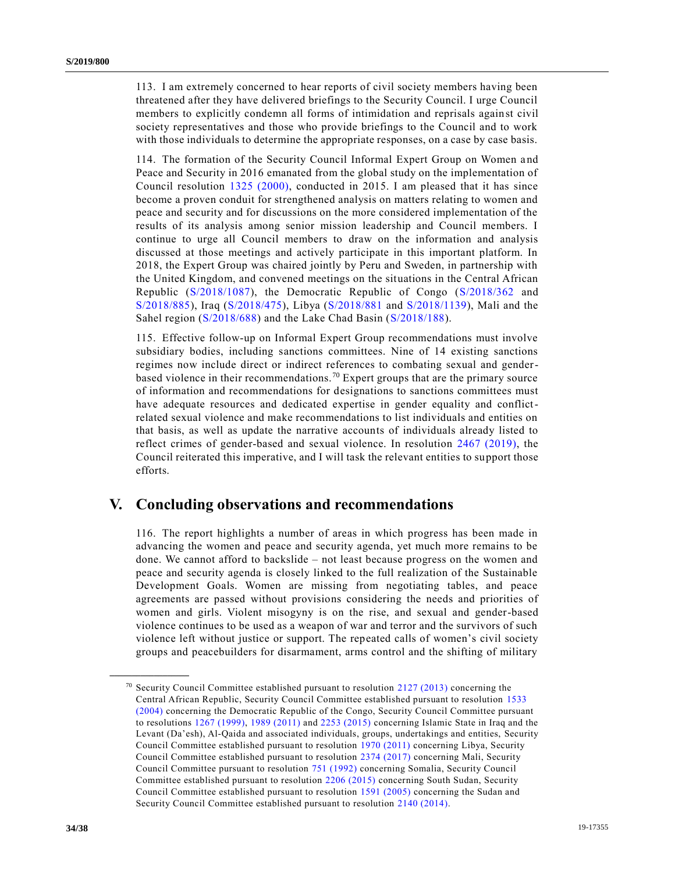113. I am extremely concerned to hear reports of civil society members having been threatened after they have delivered briefings to the Security Council. I urge Council members to explicitly condemn all forms of intimidation and reprisals against civil society representatives and those who provide briefings to the Council and to work with those individuals to determine the appropriate responses, on a case by case basis.

114. The formation of the Security Council Informal Expert Group on Women and Peace and Security in 2016 emanated from the global study on the implementation of Council resolution [1325 \(2000\),](https://undocs.org/en/S/RES/1325%20(2000)) conducted in 2015. I am pleased that it has since become a proven conduit for strengthened analysis on matters relating to women and peace and security and for discussions on the more considered implementation of the results of its analysis among senior mission leadership and Council members. I continue to urge all Council members to draw on the information and analysis discussed at those meetings and actively participate in this important platform. In 2018, the Expert Group was chaired jointly by Peru and Sweden, in partnership with the United Kingdom, and convened meetings on the situations in the Central African Republic [\(S/2018/1087\)](https://undocs.org/en/S/2018/1087), the Democratic Republic of Congo [\(S/2018/362](https://undocs.org/en/S/2018/362) and [S/2018/885\)](https://undocs.org/en/S/2018/885), Iraq [\(S/2018/475\)](https://undocs.org/en/S/2018/475), Libya [\(S/2018/881](https://undocs.org/en/S/2018/881) and [S/2018/1139\)](https://undocs.org/en/S/2018/1139), Mali and the Sahel region [\(S/2018/688\)](https://undocs.org/en/S/2018/688) and the Lake Chad Basin [\(S/2018/188\)](https://undocs.org/en/S/2018/188).

115. Effective follow-up on Informal Expert Group recommendations must involve subsidiary bodies, including sanctions committees. Nine of 14 existing sanctions regimes now include direct or indirect references to combating sexual and genderbased violence in their recommendations. <sup>70</sup> Expert groups that are the primary source of information and recommendations for designations to sanctions committees must have adequate resources and dedicated expertise in gender equality and conflictrelated sexual violence and make recommendations to list individuals and entities on that basis, as well as update the narrative accounts of individuals already listed to reflect crimes of gender-based and sexual violence. In resolution [2467 \(2019\),](https://undocs.org/en/S/RES/2467%20(2019)) the Council reiterated this imperative, and I will task the relevant entities to support those efforts.

## **V. Concluding observations and recommendations**

116. The report highlights a number of areas in which progress has been made in advancing the women and peace and security agenda, yet much more remains to be done. We cannot afford to backslide – not least because progress on the women and peace and security agenda is closely linked to the full realization of the Sustainable Development Goals. Women are missing from negotiating tables, and peace agreements are passed without provisions considering the needs and priorities of women and girls. Violent misogyny is on the rise, and sexual and gender-based violence continues to be used as a weapon of war and terror and the survivors of such violence left without justice or support. The repeated calls of women's civil society groups and peacebuilders for disarmament, arms control and the shifting of military

<sup>&</sup>lt;sup>70</sup> Security Council Committee established pursuant to resolution  $2127 (2013)$  concerning the Central African Republic, Security Council Committee established pursuant to resolution [1533](https://undocs.org/en/S/RES/1533%20(2004))  [\(2004\)](https://undocs.org/en/S/RES/1533%20(2004)) concerning the Democratic Republic of the Congo, Security Council Committee pursuant to resolutions [1267 \(1999\),](https://undocs.org/en/S/RES/1267%20(1999)) [1989 \(2011\)](https://undocs.org/en/S/RES/1989%20(2011)) and [2253 \(2015\)](https://undocs.org/en/S/RES/2253%20(2015)) concerning Islamic State in Iraq and the Levant (Da'esh), Al-Qaida and associated individuals, groups, undertakings and entities, Security Council Committee established pursuant to resolution [1970 \(2011\)](https://undocs.org/en/S/RES/1970%20(2011)) concerning Libya, Security Council Committee established pursuant to resolution [2374 \(2017\)](https://undocs.org/en/S/RES/2374%20(2017)) concerning Mali, Security Council Committee pursuant to resolution [751 \(1992\)](https://undocs.org/en/S/RES/751%20(1992)) concerning Somalia, Security Council Committee established pursuant to resolution [2206 \(2015\)](https://undocs.org/en/S/RES/2206%20(2015)) concerning South Sudan, Security Council Committee established pursuant to resolution [1591 \(2005\)](https://undocs.org/en/S/RES/1591%20(2005)) concerning the Sudan and Security Council Committee established pursuant to resolution [2140 \(2014\).](https://undocs.org/en/S/RES/2140%20(2014))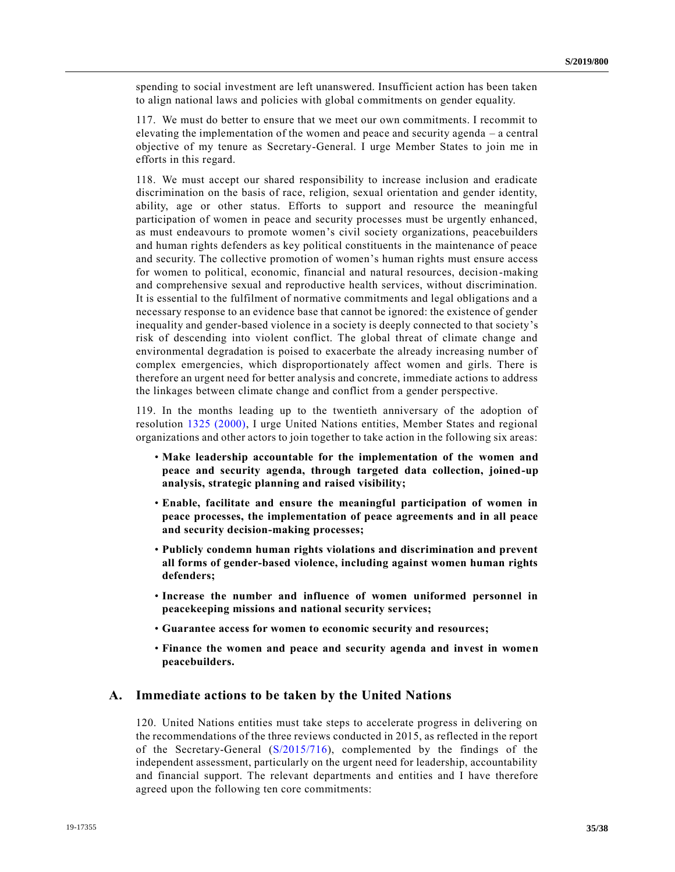spending to social investment are left unanswered. Insufficient action has been taken to align national laws and policies with global commitments on gender equality.

117. We must do better to ensure that we meet our own commitments. I recommit to elevating the implementation of the women and peace and security agenda – a central objective of my tenure as Secretary-General. I urge Member States to join me in efforts in this regard.

118. We must accept our shared responsibility to increase inclusion and eradicate discrimination on the basis of race, religion, sexual orientation and gender identity, ability, age or other status. Efforts to support and resource the meaningful participation of women in peace and security processes must be urgently enhanced, as must endeavours to promote women's civil society organizations, peacebuilders and human rights defenders as key political constituents in the maintenance of peace and security. The collective promotion of women's human rights must ensure access for women to political, economic, financial and natural resources, decision-making and comprehensive sexual and reproductive health services, without discrimination. It is essential to the fulfilment of normative commitments and legal obligations and a necessary response to an evidence base that cannot be ignored: the existence of gender inequality and gender-based violence in a society is deeply connected to that society's risk of descending into violent conflict. The global threat of climate change and environmental degradation is poised to exacerbate the already increasing number of complex emergencies, which disproportionately affect women and girls. There is therefore an urgent need for better analysis and concrete, immediate actions to address the linkages between climate change and conflict from a gender perspective.

119. In the months leading up to the twentieth anniversary of the adoption of resolution [1325 \(2000\),](https://undocs.org/en/S/RES/1325%20(2000)) I urge United Nations entities, Member States and regional organizations and other actors to join together to take action in the following six areas:

- **Make leadership accountable for the implementation of the women and peace and security agenda, through targeted data collection, joined-up analysis, strategic planning and raised visibility;**
- **Enable, facilitate and ensure the meaningful participation of women in peace processes, the implementation of peace agreements and in all peace and security decision-making processes;**
- **Publicly condemn human rights violations and discrimination and prevent all forms of gender-based violence, including against women human rights defenders;**
- **Increase the number and influence of women uniformed personnel in peacekeeping missions and national security services;**
- **Guarantee access for women to economic security and resources;**
- **Finance the women and peace and security agenda and invest in women peacebuilders.**

### **A. Immediate actions to be taken by the United Nations**

120. United Nations entities must take steps to accelerate progress in delivering on the recommendations of the three reviews conducted in 2015, as reflected in the report of the Secretary-General [\(S/2015/716\)](https://undocs.org/en/S/2015/716), complemented by the findings of the independent assessment, particularly on the urgent need for leadership, accountability and financial support. The relevant departments and entities and I have therefore agreed upon the following ten core commitments: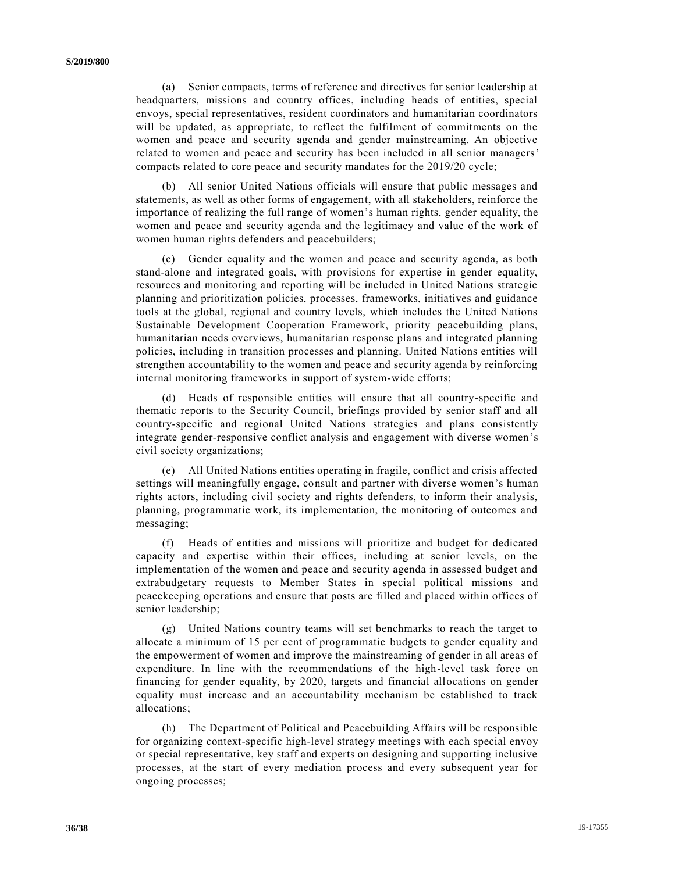(a) Senior compacts, terms of reference and directives for senior leadership at headquarters, missions and country offices, including heads of entities, special envoys, special representatives, resident coordinators and humanitarian coordinators will be updated, as appropriate, to reflect the fulfilment of commitments on the women and peace and security agenda and gender mainstreaming. An objective related to women and peace and security has been included in all senior managers' compacts related to core peace and security mandates for the 2019/20 cycle;

(b) All senior United Nations officials will ensure that public messages and statements, as well as other forms of engagement, with all stakeholders, reinforce the importance of realizing the full range of women's human rights, gender equality, the women and peace and security agenda and the legitimacy and value of the work of women human rights defenders and peacebuilders;

(c) Gender equality and the women and peace and security agenda, as both stand-alone and integrated goals, with provisions for expertise in gender equality, resources and monitoring and reporting will be included in United Nations strategic planning and prioritization policies, processes, frameworks, initiatives and guidance tools at the global, regional and country levels, which includes the United Nations Sustainable Development Cooperation Framework, priority peacebuilding plans, humanitarian needs overviews, humanitarian response plans and integrated planning policies, including in transition processes and planning. United Nations entities will strengthen accountability to the women and peace and security agenda by reinforcing internal monitoring frameworks in support of system-wide efforts;

(d) Heads of responsible entities will ensure that all country-specific and thematic reports to the Security Council, briefings provided by senior staff and all country-specific and regional United Nations strategies and plans consistently integrate gender-responsive conflict analysis and engagement with diverse women's civil society organizations;

(e) All United Nations entities operating in fragile, conflict and crisis affected settings will meaningfully engage, consult and partner with diverse women's human rights actors, including civil society and rights defenders, to inform their analysis, planning, programmatic work, its implementation, the monitoring of outcomes and messaging;

(f) Heads of entities and missions will prioritize and budget for dedicated capacity and expertise within their offices, including at senior levels, on the implementation of the women and peace and security agenda in assessed budget and extrabudgetary requests to Member States in special political missions and peacekeeping operations and ensure that posts are filled and placed within offices of senior leadership;

(g) United Nations country teams will set benchmarks to reach the target to allocate a minimum of 15 per cent of programmatic budgets to gender equality and the empowerment of women and improve the mainstreaming of gender in all areas of expenditure. In line with the recommendations of the high-level task force on financing for gender equality, by 2020, targets and financial allocations on gender equality must increase and an accountability mechanism be established to track allocations;

(h) The Department of Political and Peacebuilding Affairs will be responsible for organizing context-specific high-level strategy meetings with each special envoy or special representative, key staff and experts on designing and supporting inclusive processes, at the start of every mediation process and every subsequent year for ongoing processes;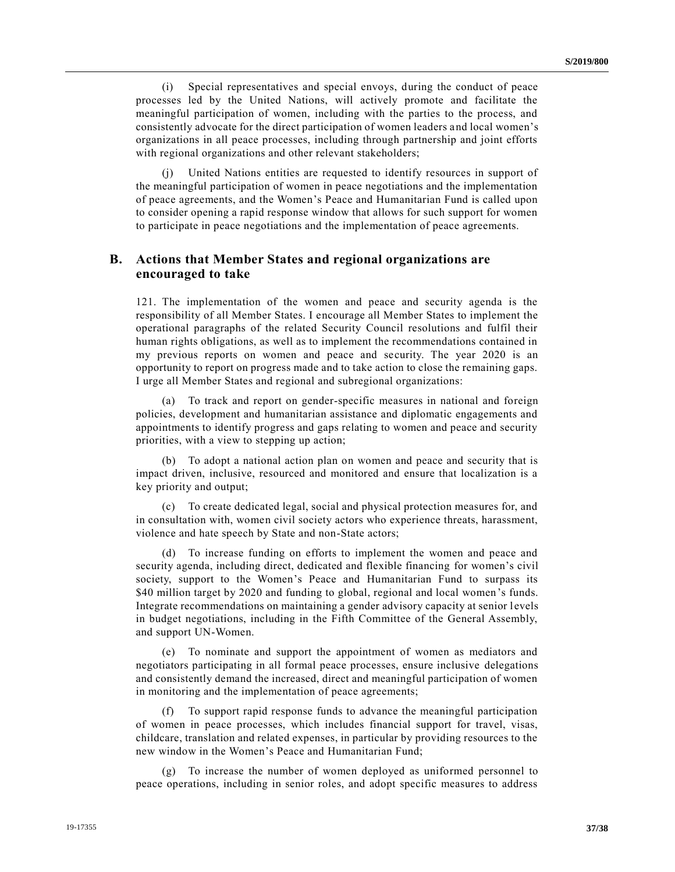(i) Special representatives and special envoys, during the conduct of peace processes led by the United Nations, will actively promote and facilitate the meaningful participation of women, including with the parties to the process, and consistently advocate for the direct participation of women leaders and local women's organizations in all peace processes, including through partnership and joint efforts with regional organizations and other relevant stakeholders;

(j) United Nations entities are requested to identify resources in support of the meaningful participation of women in peace negotiations and the implementation of peace agreements, and the Women's Peace and Humanitarian Fund is called upon to consider opening a rapid response window that allows for such support for women to participate in peace negotiations and the implementation of peace agreements.

### **B. Actions that Member States and regional organizations are encouraged to take**

121. The implementation of the women and peace and security agenda is the responsibility of all Member States. I encourage all Member States to implement the operational paragraphs of the related Security Council resolutions and fulfil their human rights obligations, as well as to implement the recommendations contained in my previous reports on women and peace and security. The year 2020 is an opportunity to report on progress made and to take action to close the remaining gaps. I urge all Member States and regional and subregional organizations:

(a) To track and report on gender-specific measures in national and foreign policies, development and humanitarian assistance and diplomatic engagements and appointments to identify progress and gaps relating to women and peace and security priorities, with a view to stepping up action;

(b) To adopt a national action plan on women and peace and security that is impact driven, inclusive, resourced and monitored and ensure that localization is a key priority and output;

(c) To create dedicated legal, social and physical protection measures for, and in consultation with, women civil society actors who experience threats, harassment, violence and hate speech by State and non-State actors;

(d) To increase funding on efforts to implement the women and peace and security agenda, including direct, dedicated and flexible financing for women's civil society, support to the Women's Peace and Humanitarian Fund to surpass its \$40 million target by 2020 and funding to global, regional and local women's funds. Integrate recommendations on maintaining a gender advisory capacity at senior l evels in budget negotiations, including in the Fifth Committee of the General Assembly, and support UN-Women.

(e) To nominate and support the appointment of women as mediators and negotiators participating in all formal peace processes, ensure inclusive delegations and consistently demand the increased, direct and meaningful participation of women in monitoring and the implementation of peace agreements;

To support rapid response funds to advance the meaningful participation of women in peace processes, which includes financial support for travel, visas, childcare, translation and related expenses, in particular by providing resources to the new window in the Women's Peace and Humanitarian Fund;

(g) To increase the number of women deployed as uniformed personnel to peace operations, including in senior roles, and adopt specific measures to address